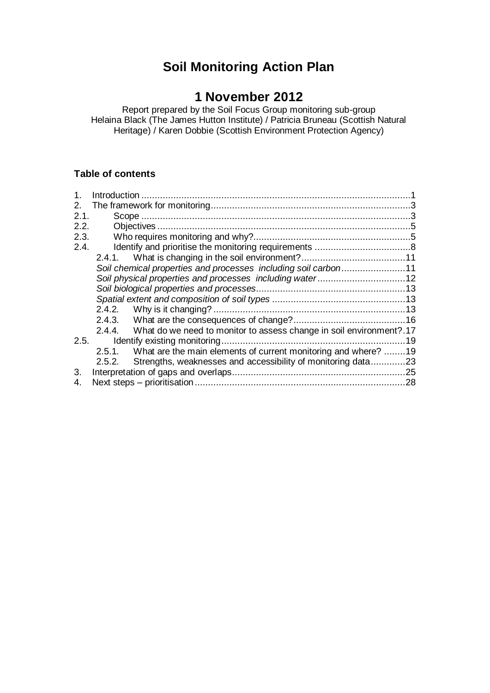# **Soil Monitoring Action Plan**

# **1 November 2012**

Report prepared by the Soil Focus Group monitoring sub-group Helaina Black (The James Hutton Institute) / Patricia Bruneau (Scottish Natural Heritage) / Karen Dobbie (Scottish Environment Protection Agency)

### **Table of contents**

| $\mathbf 1$ . | Introduction |                                                                            |     |
|---------------|--------------|----------------------------------------------------------------------------|-----|
| 2.            |              |                                                                            |     |
| 2.1.          |              |                                                                            |     |
| 2.2.          |              |                                                                            |     |
| 2.3.          |              |                                                                            |     |
| 2.4.          |              |                                                                            |     |
|               |              |                                                                            |     |
|               |              | Soil chemical properties and processes including soil carbon11             |     |
|               |              | Soil physical properties and processes including water12                   |     |
|               |              |                                                                            |     |
|               |              |                                                                            |     |
|               | 2.4.2.       |                                                                            |     |
|               |              |                                                                            |     |
|               |              | 2.4.4. What do we need to monitor to assess change in soil environment?.17 |     |
| 2.5.          |              |                                                                            | 19  |
|               | 2.5.1        | What are the main elements of current monitoring and where? 19             |     |
|               | 2.5.2.       | Strengths, weaknesses and accessibility of monitoring data23               |     |
| 3.            |              |                                                                            | .25 |
| 4.            |              |                                                                            | .28 |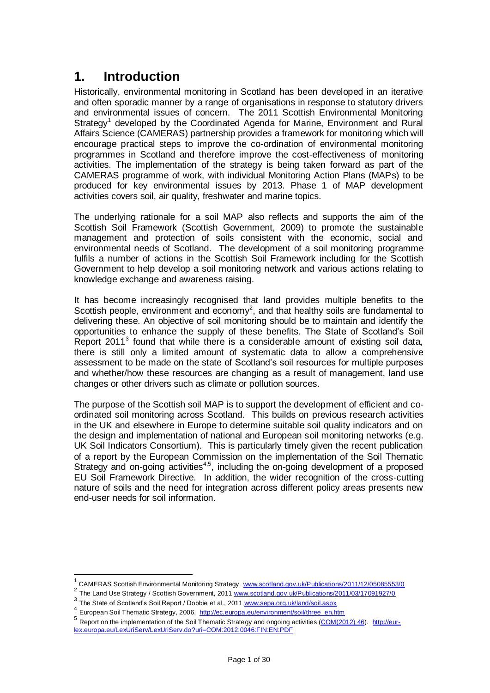# <span id="page-1-0"></span>**1. Introduction**

Historically, environmental monitoring in Scotland has been developed in an iterative and often sporadic manner by a range of organisations in response to statutory drivers and environmental issues of concern. The 2011 Scottish Environmental Monitoring Strategy<sup>1</sup> developed by the Coordinated Agenda for Marine, Environment and Rural Affairs Science (CAMERAS) partnership provides a framework for monitoring which will encourage practical steps to improve the co-ordination of environmental monitoring programmes in Scotland and therefore improve the cost-effectiveness of monitoring activities. The implementation of the strategy is being taken forward as part of the CAMERAS programme of work, with individual Monitoring Action Plans (MAPs) to be produced for key environmental issues by 2013. Phase 1 of MAP development activities covers soil, air quality, freshwater and marine topics.

The underlying rationale for a soil MAP also reflects and supports the aim of the Scottish Soil Framework (Scottish Government, 2009) to promote the sustainable management and protection of soils consistent with the economic, social and environmental needs of Scotland. The development of a soil monitoring programme fulfils a number of actions in the Scottish Soil Framework including for the Scottish Government to help develop a soil monitoring network and various actions relating to knowledge exchange and awareness raising.

It has become increasingly recognised that land provides multiple benefits to the Scottish people, environment and economy<sup>2</sup>, and that healthy soils are fundamental to delivering these. An objective of soil monitoring should be to maintain and identify the opportunities to enhance the supply of these benefits. The State of Scotland's Soil Report  $2011<sup>3</sup>$  found that while there is a considerable amount of existing soil data, there is still only a limited amount of systematic data to allow a comprehensive assessment to be made on the state of Scotland's soil resources for multiple purposes and whether/how these resources are changing as a result of management, land use changes or other drivers such as climate or pollution sources.

The purpose of the Scottish soil MAP is to support the development of efficient and coordinated soil monitoring across Scotland. This builds on previous research activities in the UK and elsewhere in Europe to determine suitable soil quality indicators and on the design and implementation of national and European soil monitoring networks (e.g. UK Soil Indicators Consortium). This is particularly timely given the recent publication of a report by the European Commission on the implementation of the Soil Thematic Strategy and on-going activities<sup>4,5</sup>, including the on-going development of a proposed EU Soil Framework Directive. In addition, the wider recognition of the cross-cutting nature of soils and the need for integration across different policy areas presents new end-user needs for soil information.

 1 CAMERAS Scottish Environmental Monitoring Strategy [www.scotland.gov.uk/Publications/2011/12/05085553/0](http://www.scotland.gov.uk/Publications/2011/12/05085553/0)

<sup>&</sup>lt;sup>2</sup> The Land Use Strategy / Scottish Government, 201[1 www.scotland.gov.uk/Publications/2011/03/17091927/0](http://www.scotland.gov.uk/Publications/2011/03/17091927/0)

<sup>&</sup>lt;sup>3</sup> The State of Scotland's Soil Report / Dobbie et al., 2011 [www.sepa.org.uk/land/soil.aspx](http://www.sepa.org.uk/land/soil.aspx)

<sup>4&</sup>lt;br>European Soil Thematic Strategy, 2006. [http://ec.europa.eu/environment/soil/three\\_en.htm](http://ec.europa.eu/environment/soil/three_en.htm)

<sup>5&</sup>lt;br>Report on the implementation of the Soil Thematic Strategy and ongoing activities [\(COM\(2012\) 46\)](http://eur-lex.europa.eu/LexUriServ/LexUriServ.do?uri=CELEX:52012DC0046:EN:NOT). [http://eur](http://eur-lex.europa.eu/LexUriServ/LexUriServ.do?uri=COM:2012:0046:FIN:EN:PDF)[lex.europa.eu/LexUriServ/LexUriServ.do?uri=COM:2012:0046:FIN:EN:PDF](http://eur-lex.europa.eu/LexUriServ/LexUriServ.do?uri=COM:2012:0046:FIN:EN:PDF)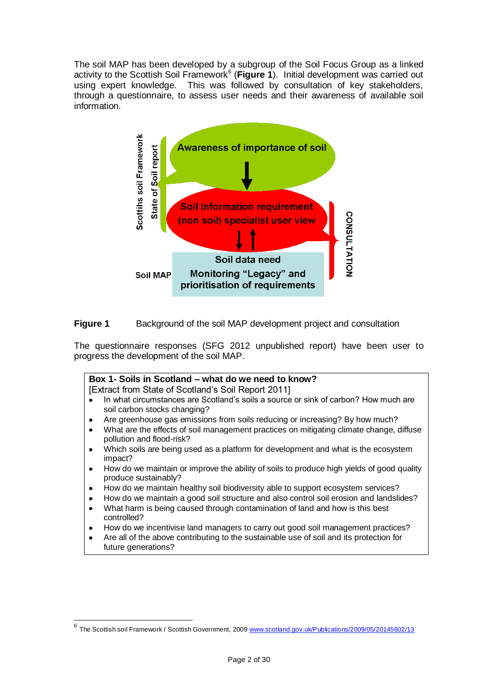The soil MAP has been developed by a subgroup of the Soil Focus Group as a linked activity to the Scottish Soil Framework<sup>6</sup> (Figure 1). Initial development was carried out using expert knowledge. This was followed by consultation of key stakeholders, through a questionnaire, to assess user needs and their awareness of available soil information.



**Figure 1** Background of the soil MAP development project and consultation

The questionnaire responses (SFG 2012 unpublished report) have been user to progress the development of the soil MAP.

| Box 1- Soils in Scotland – what do we need to know?<br>[Extract from State of Scotland's Soil Report 2011]                        |
|-----------------------------------------------------------------------------------------------------------------------------------|
| In what circumstances are Scotland's soils a source or sink of carbon? How much are<br>soil carbon stocks changing?               |
| Are greenhouse gas emissions from soils reducing or increasing? By how much?                                                      |
| What are the effects of soil management practices on mitigating climate change, diffuse<br>$\bullet$<br>pollution and flood-risk? |
| Which soils are being used as a platform for development and what is the ecosystem<br>$\bullet$<br>impact?                        |
| How do we maintain or improve the ability of soils to produce high yields of good quality<br>$\bullet$<br>produce sustainably?    |
| How do we maintain healthy soil biodiversity able to support ecosystem services?<br>$\bullet$                                     |
| How do we maintain a good soil structure and also control soil erosion and landslides?<br>$\bullet$                               |
| What harm is being caused through contamination of land and how is this best<br>$\bullet$<br>controlled?                          |
| How do we incentivise land managers to carry out good soil management practices?<br>$\bullet$                                     |
| Are all of the above contributing to the sustainable use of soil and its protection for<br>$\bullet$<br>future generations?       |
|                                                                                                                                   |

 6 The Scottish soil Framework / Scottish Government, 2009 [www.scotland.gov.uk/Publications/2009/05/20145602/13](http://www.scotland.gov.uk/Publications/2009/05/20145602/13)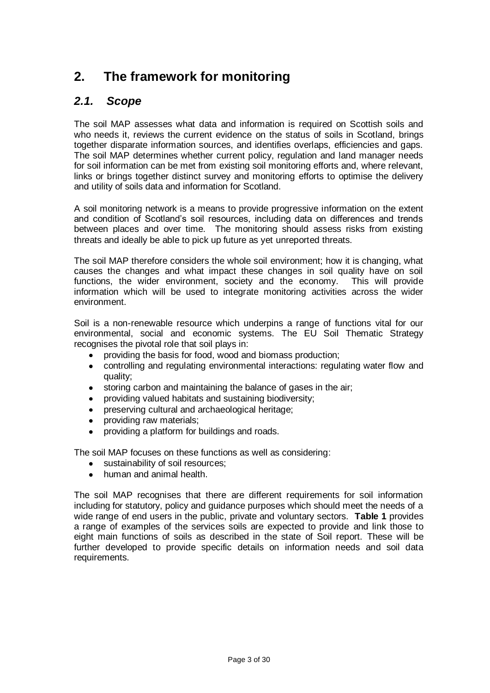# <span id="page-3-0"></span>**2. The framework for monitoring**

# <span id="page-3-1"></span>*2.1. Scope*

The soil MAP assesses what data and information is required on Scottish soils and who needs it, reviews the current evidence on the status of soils in Scotland, brings together disparate information sources, and identifies overlaps, efficiencies and gaps. The soil MAP determines whether current policy, regulation and land manager needs for soil information can be met from existing soil monitoring efforts and, where relevant, links or brings together distinct survey and monitoring efforts to optimise the delivery and utility of soils data and information for Scotland.

A soil monitoring network is a means to provide progressive information on the extent and condition of Scotland's soil resources, including data on differences and trends between places and over time. The monitoring should assess risks from existing threats and ideally be able to pick up future as yet unreported threats.

The soil MAP therefore considers the whole soil environment; how it is changing, what causes the changes and what impact these changes in soil quality have on soil functions, the wider environment, society and the economy. This will provide information which will be used to integrate monitoring activities across the wider environment.

Soil is a non-renewable resource which underpins a range of functions vital for our environmental, social and economic systems. The EU Soil Thematic Strategy recognises the pivotal role that soil plays in:

- providing the basis for food, wood and biomass production;
- $\bullet$ controlling and regulating environmental interactions: regulating water flow and quality;
- storing carbon and maintaining the balance of gases in the air;  $\bullet$
- providing valued habitats and sustaining biodiversity;  $\bullet$
- preserving cultural and archaeological heritage;
- providing raw materials;
- providing a platform for buildings and roads.

The soil MAP focuses on these functions as well as considering:

- sustainability of soil resources;  $\bullet$
- human and animal health.

The soil MAP recognises that there are different requirements for soil information including for statutory, policy and guidance purposes which should meet the needs of a wide range of end users in the public, private and voluntary sectors. **Table 1** provides a range of examples of the services soils are expected to provide and link those to eight main functions of soils as described in the state of Soil report. These will be further developed to provide specific details on information needs and soil data requirements.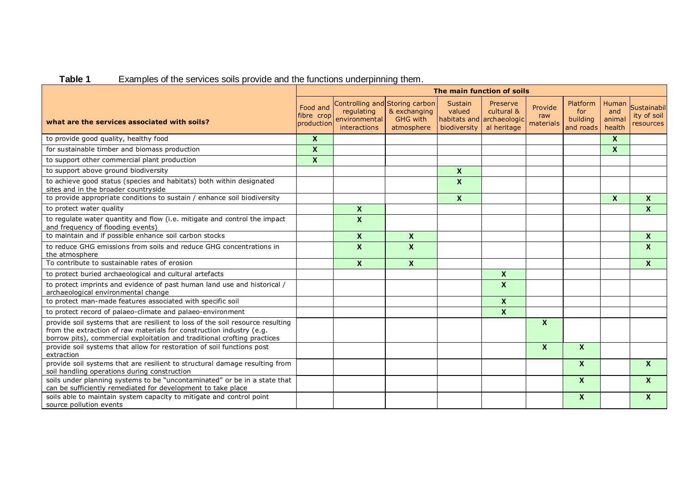| Table 1 |  |  | Examples of the services soils provide and the functions underpinning them. |
|---------|--|--|-----------------------------------------------------------------------------|
|         |  |  |                                                                             |

|                                                                                                                                                                                                                                    |                                      | The main function of soils                                                    |                                               |                                                          |                                                       |                             |                                          |                                  |                                         |  |
|------------------------------------------------------------------------------------------------------------------------------------------------------------------------------------------------------------------------------------|--------------------------------------|-------------------------------------------------------------------------------|-----------------------------------------------|----------------------------------------------------------|-------------------------------------------------------|-----------------------------|------------------------------------------|----------------------------------|-----------------------------------------|--|
| what are the services associated with soils?                                                                                                                                                                                       | Food and<br>fibre crop<br>production | Controlling and Storing carbon<br>regulating<br>environmental<br>interactions | & exchanging<br><b>GHG with</b><br>atmosphere | <b>Sustain</b><br>valued<br>habitats and<br>biodiversity | Preserve<br>cultural &<br>archaeologic<br>al heritage | Provide<br>raw<br>materials | Platform<br>for<br>building<br>and roads | Human<br>and<br>animal<br>health | Sustainabil<br>ity of soil<br>resources |  |
| to provide good quality, healthy food                                                                                                                                                                                              | $\boldsymbol{x}$                     |                                                                               |                                               |                                                          |                                                       |                             |                                          | $\mathsf{x}$                     |                                         |  |
| for sustainable timber and biomass production                                                                                                                                                                                      | $\boldsymbol{\mathsf{x}}$            |                                                                               |                                               |                                                          |                                                       |                             |                                          | $\boldsymbol{x}$                 |                                         |  |
| to support other commercial plant production                                                                                                                                                                                       | $\boldsymbol{x}$                     |                                                                               |                                               |                                                          |                                                       |                             |                                          |                                  |                                         |  |
| to support above ground biodiversity                                                                                                                                                                                               |                                      |                                                                               |                                               | $\boldsymbol{x}$                                         |                                                       |                             |                                          |                                  |                                         |  |
| to achieve good status (species and habitats) both within designated<br>sites and in the broader countryside                                                                                                                       |                                      |                                                                               |                                               | $\mathbf{x}$                                             |                                                       |                             |                                          |                                  |                                         |  |
| to provide appropriate conditions to sustain / enhance soil biodiversity                                                                                                                                                           |                                      |                                                                               |                                               | $\boldsymbol{\mathsf{x}}$                                |                                                       |                             |                                          | $\boldsymbol{x}$                 | $\boldsymbol{x}$                        |  |
| to protect water quality                                                                                                                                                                                                           |                                      | $\mathbf{x}$                                                                  |                                               |                                                          |                                                       |                             |                                          |                                  | $\mathbf{x}$                            |  |
| to regulate water quantity and flow (i.e. mitigate and control the impact<br>and frequency of flooding events)                                                                                                                     |                                      | $\boldsymbol{X}$                                                              |                                               |                                                          |                                                       |                             |                                          |                                  |                                         |  |
| to maintain and if possible enhance soil carbon stocks                                                                                                                                                                             |                                      | $\mathbf{x}$                                                                  | X                                             |                                                          |                                                       |                             |                                          |                                  | $\mathbf{x}$                            |  |
| to reduce GHG emissions from soils and reduce GHG concentrations in<br>the atmosphere                                                                                                                                              |                                      | $\boldsymbol{x}$                                                              | $\boldsymbol{X}$                              |                                                          |                                                       |                             |                                          |                                  | $\mathbf{x}$                            |  |
| To contribute to sustainable rates of erosion                                                                                                                                                                                      |                                      | $\mathbf{x}$                                                                  | $\mathbf{x}$                                  |                                                          |                                                       |                             |                                          |                                  | $\boldsymbol{x}$                        |  |
| to protect buried archaeological and cultural artefacts                                                                                                                                                                            |                                      |                                                                               |                                               |                                                          | $\boldsymbol{X}$                                      |                             |                                          |                                  |                                         |  |
| to protect imprints and evidence of past human land use and historical /<br>archaeological environmental change                                                                                                                    |                                      |                                                                               |                                               |                                                          | $\boldsymbol{X}$                                      |                             |                                          |                                  |                                         |  |
| to protect man-made features associated with specific soil                                                                                                                                                                         |                                      |                                                                               |                                               |                                                          | $\mathbf{x}$                                          |                             |                                          |                                  |                                         |  |
| to protect record of palaeo-climate and palaeo-environment                                                                                                                                                                         |                                      |                                                                               |                                               |                                                          | $\mathbf{x}$                                          |                             |                                          |                                  |                                         |  |
| provide soil systems that are resilient to loss of the soil resource resulting<br>from the extraction of raw materials for construction industry (e.g.<br>borrow pits), commercial exploitation and traditional crofting practices |                                      |                                                                               |                                               |                                                          |                                                       | X                           |                                          |                                  |                                         |  |
| provide soil systems that allow for restoration of soil functions post<br>extraction                                                                                                                                               |                                      |                                                                               |                                               |                                                          |                                                       | $\mathbf{x}$                | $\mathbf{x}$                             |                                  |                                         |  |
| provide soil systems that are resilient to structural damage resulting from<br>soil handling operations during construction                                                                                                        |                                      |                                                                               |                                               |                                                          |                                                       |                             | $\boldsymbol{X}$                         |                                  | $\boldsymbol{X}$                        |  |
| soils under planning systems to be "uncontaminated" or be in a state that<br>can be sufficiently remediated for development to take place                                                                                          |                                      |                                                                               |                                               |                                                          |                                                       |                             | $\mathbf{x}$                             |                                  | $\mathbf{x}$                            |  |
| soils able to maintain system capacity to mitigate and control point<br>source pollution events                                                                                                                                    |                                      |                                                                               |                                               |                                                          |                                                       |                             | $\mathbf{x}$                             |                                  | $\boldsymbol{X}$                        |  |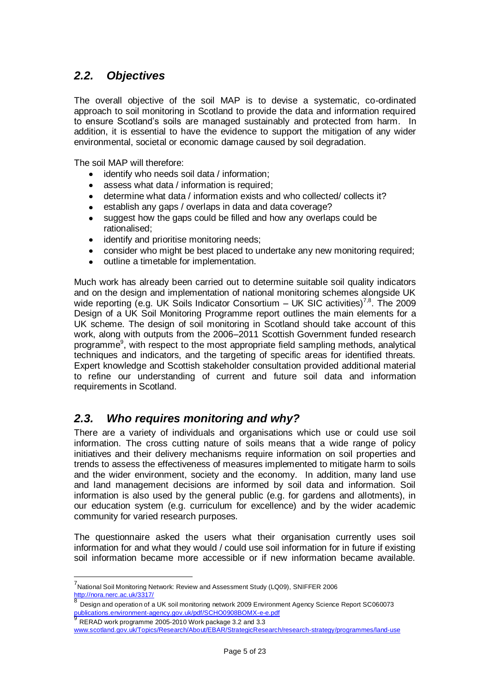# <span id="page-5-0"></span>*2.2. Objectives*

The overall objective of the soil MAP is to devise a systematic, co-ordinated approach to soil monitoring in Scotland to provide the data and information required to ensure Scotland's soils are managed sustainably and protected from harm. In addition, it is essential to have the evidence to support the mitigation of any wider environmental, societal or economic damage caused by soil degradation.

The soil MAP will therefore:

- identify who needs soil data / information;
- assess what data / information is required;
- determine what data / information exists and who collected/ collects it?
- establish any gaps / overlaps in data and data coverage?
- suggest how the gaps could be filled and how any overlaps could be  $\bullet$ rationalised;
- identify and prioritise monitoring needs;
- consider who might be best placed to undertake any new monitoring required;
- outline a timetable for implementation.

Much work has already been carried out to determine suitable soil quality indicators and on the design and implementation of national monitoring schemes alongside UK wide reporting (e.g. UK Soils Indicator Consortium  $-$  UK SIC activities)<sup>7,8</sup>. The 2009 Design of a UK Soil Monitoring Programme report outlines the main elements for a UK scheme. The design of soil monitoring in Scotland should take account of this work, along with outputs from the 2006–2011 Scottish Government funded research programme<sup>9</sup>, with respect to the most appropriate field sampling methods, analytical techniques and indicators, and the targeting of specific areas for identified threats. Expert knowledge and Scottish stakeholder consultation provided additional material to refine our understanding of current and future soil data and information requirements in Scotland.

## <span id="page-5-1"></span>*2.3. Who requires monitoring and why?*

There are a variety of individuals and organisations which use or could use soil information. The cross cutting nature of soils means that a wide range of policy initiatives and their delivery mechanisms require information on soil properties and trends to assess the effectiveness of measures implemented to mitigate harm to soils and the wider environment, society and the economy. In addition, many land use and land management decisions are informed by soil data and information. Soil information is also used by the general public (e.g. for gardens and allotments), in our education system (e.g. curriculum for excellence) and by the wider academic community for varied research purposes.

The questionnaire asked the users what their organisation currently uses soil information for and what they would / could use soil information for in future if existing soil information became more accessible or if new information became available.

RERAD work programme 2005-2010 Work package 3.2 and 3.3

-

<sup>&</sup>lt;sup>7</sup><br>National Soil Monitoring Network: Review and Assessment Study (LQ09), SNIFFER 2006 <http://nora.nerc.ac.uk/3317/>

<sup>8</sup> Design and operation of a UK soil monitoring network 2009 Environment Agency Science Report SC060073 [publications.environment-agency.gov.uk/pdf/SCHO0908BOMX-e-e.pdf](http://publications.environment-agency.gov.uk/pdf/SCHO0908BOMX-e-e.pdf) 9

[www.scotland.gov.uk/Topics/Research/About/EBAR/StrategicResearch/research-strategy/programmes/land-use](http://www.scotland.gov.uk/Topics/Research/About/EBAR/StrategicResearch/research-strategy/programmes/land-use)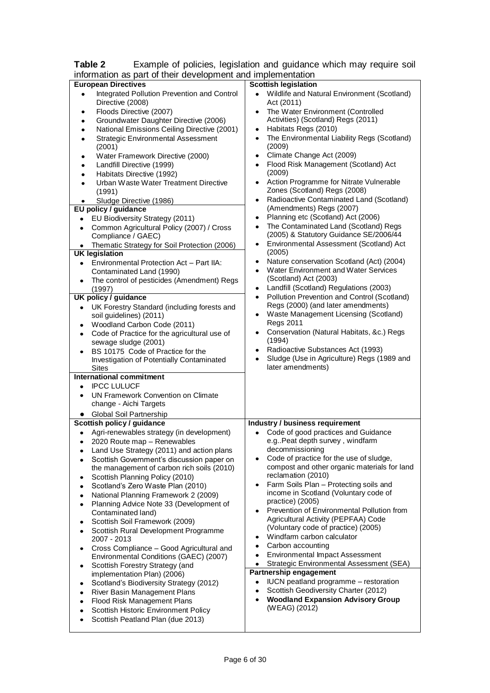## **Table 2** Example of policies, legislation and guidance which may require soil information as part of their development and implementation

| mnomnation as part or their acyclopment and implementation.                                                                                                                                                                                                                                                                                                                                                                                                                                                                                                                                                                                                                                                                                                                                                                                                                                                                                                                                                                                                                                                                                                                                                                                                                                                                                                                 |                                                                                                                                                                                                                                                                                                                                                                                                                                                                                                                                                                                                                                                                                                                                                                                                                                                                                                                                                                                                                                                                                                                                                                                                                                                                                                                                                                                 |
|-----------------------------------------------------------------------------------------------------------------------------------------------------------------------------------------------------------------------------------------------------------------------------------------------------------------------------------------------------------------------------------------------------------------------------------------------------------------------------------------------------------------------------------------------------------------------------------------------------------------------------------------------------------------------------------------------------------------------------------------------------------------------------------------------------------------------------------------------------------------------------------------------------------------------------------------------------------------------------------------------------------------------------------------------------------------------------------------------------------------------------------------------------------------------------------------------------------------------------------------------------------------------------------------------------------------------------------------------------------------------------|---------------------------------------------------------------------------------------------------------------------------------------------------------------------------------------------------------------------------------------------------------------------------------------------------------------------------------------------------------------------------------------------------------------------------------------------------------------------------------------------------------------------------------------------------------------------------------------------------------------------------------------------------------------------------------------------------------------------------------------------------------------------------------------------------------------------------------------------------------------------------------------------------------------------------------------------------------------------------------------------------------------------------------------------------------------------------------------------------------------------------------------------------------------------------------------------------------------------------------------------------------------------------------------------------------------------------------------------------------------------------------|
| <b>European Directives</b><br>Integrated Pollution Prevention and Control<br>$\bullet$<br>Directive (2008)<br>Floods Directive (2007)<br>٠<br>Groundwater Daughter Directive (2006)<br>$\bullet$<br>National Emissions Ceiling Directive (2001)<br>$\bullet$<br><b>Strategic Environmental Assessment</b><br>$\bullet$<br>(2001)<br>Water Framework Directive (2000)<br>٠<br>Landfill Directive (1999)<br>$\bullet$<br>Habitats Directive (1992)<br>$\bullet$<br>Urban Waste Water Treatment Directive<br>$\bullet$<br>(1991)<br>Sludge Directive (1986)<br>EU policy / guidance<br>• EU Biodiversity Strategy (2011)<br>Common Agricultural Policy (2007) / Cross<br>$\bullet$<br>Compliance / GAEC)<br>• Thematic Strategy for Soil Protection (2006)<br><b>UK legislation</b><br>• Environmental Protection Act - Part IIA:<br>Contaminated Land (1990)<br>The control of pesticides (Amendment) Regs<br>(1997)<br>UK policy / guidance<br>• UK Forestry Standard (including forests and<br>soil guidelines) (2011)<br>Woodland Carbon Code (2011)<br>$\bullet$<br>Code of Practice for the agricultural use of<br>$\bullet$<br>sewage sludge (2001)<br>BS 10175 Code of Practice for the<br>Investigation of Potentially Contaminated<br>Sites<br><b>International commitment</b><br>• IPCC LULUCF<br>UN Framework Convention on Climate<br>٠<br>change - Aichi Targets | <b>Scottish legislation</b><br>Wildlife and Natural Environment (Scotland)<br>$\bullet$<br>Act (2011)<br>The Water Environment (Controlled<br>$\bullet$<br>Activities) (Scotland) Regs (2011)<br>Habitats Regs (2010)<br>$\bullet$<br>The Environmental Liability Regs (Scotland)<br>$\bullet$<br>(2009)<br>Climate Change Act (2009)<br>$\bullet$<br>Flood Risk Management (Scotland) Act<br>$\bullet$<br>(2009)<br>Action Programme for Nitrate Vulnerable<br>$\bullet$<br>Zones (Scotland) Regs (2008)<br>Radioactive Contaminated Land (Scotland)<br>$\bullet$<br>(Amendments) Regs (2007)<br>Planning etc (Scotland) Act (2006)<br>$\bullet$<br>The Contaminated Land (Scotland) Regs<br>$\bullet$<br>(2005) & Statutory Guidance SE/2006/44<br>Environmental Assessment (Scotland) Act<br>(2005)<br>Nature conservation Scotland (Act) (2004)<br>$\bullet$<br>Water Environment and Water Services<br>$\bullet$<br>(Scotland) Act (2003)<br>Landfill (Scotland) Regulations (2003)<br>$\bullet$<br>Pollution Prevention and Control (Scotland)<br>$\bullet$<br>Regs (2000) (and later amendments)<br>Waste Management Licensing (Scotland)<br>٠<br><b>Regs 2011</b><br>Conservation (Natural Habitats, &c.) Regs<br>$\bullet$<br>(1994)<br>Radioactive Substances Act (1993)<br>$\bullet$<br>Sludge (Use in Agriculture) Regs (1989 and<br>$\bullet$<br>later amendments) |
| • Global Soil Partnership<br>Scottish policy / guidance<br>Agri-renewables strategy (in development)<br>$\bullet$<br>2020 Route map - Renewables<br>$\bullet$<br>Land Use Strategy (2011) and action plans<br>٠<br>Scottish Government's discussion paper on<br>٠<br>the management of carbon rich soils (2010)<br>Scottish Planning Policy (2010)<br>٠<br>Scotland's Zero Waste Plan (2010)<br>٠<br>National Planning Framework 2 (2009)<br>٠<br>Planning Advice Note 33 (Development of<br>٠<br>Contaminated land)<br>Scottish Soil Framework (2009)<br>٠<br>Scottish Rural Development Programme<br>٠<br>2007 - 2013<br>Cross Compliance - Good Agricultural and<br>٠<br>Environmental Conditions (GAEC) (2007)<br>Scottish Forestry Strategy (and<br>٠<br>implementation Plan) (2006)<br>Scotland's Biodiversity Strategy (2012)<br>$\bullet$<br>River Basin Management Plans<br>٠<br>Flood Risk Management Plans<br>٠<br>Scottish Historic Environment Policy<br>٠<br>Scottish Peatland Plan (due 2013)<br>٠                                                                                                                                                                                                                                                                                                                                                           | Industry / business requirement<br>Code of good practices and Guidance<br>e.gPeat depth survey, windfarm<br>decommissioning<br>Code of practice for the use of sludge,<br>٠<br>compost and other organic materials for land<br>reclamation (2010)<br>Farm Soils Plan - Protecting soils and<br>٠<br>income in Scotland (Voluntary code of<br>practice) (2005)<br>Prevention of Environmental Pollution from<br>Agricultural Activity (PEPFAA) Code<br>(Voluntary code of practice) (2005)<br>Windfarm carbon calculator<br>Carbon accounting<br>٠<br><b>Environmental Impact Assessment</b><br>$\bullet$<br>Strategic Environmental Assessment (SEA)<br>$\bullet$<br>Partnership engagement<br>IUCN peatland programme - restoration<br>$\bullet$<br>Scottish Geodiversity Charter (2012)<br>$\bullet$<br><b>Woodland Expansion Advisory Group</b><br>(WEAG) (2012)                                                                                                                                                                                                                                                                                                                                                                                                                                                                                                             |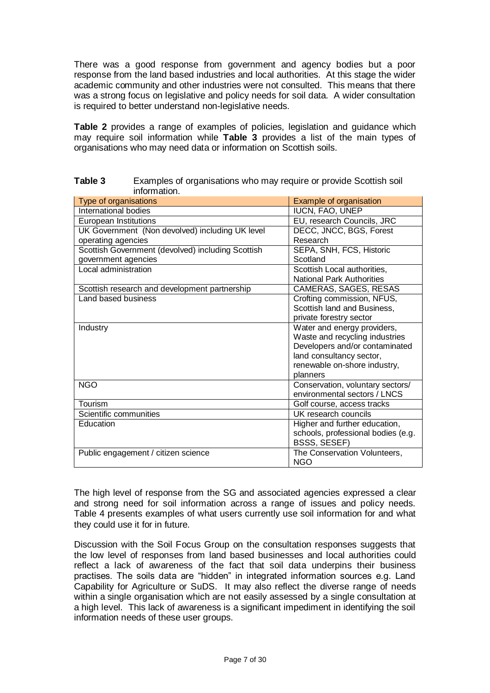There was a good response from government and agency bodies but a poor response from the land based industries and local authorities. At this stage the wider academic community and other industries were not consulted. This means that there was a strong focus on legislative and policy needs for soil data. A wider consultation is required to better understand non-legislative needs.

**Table 2** provides a range of examples of policies, legislation and guidance which may require soil information while **Table 3** provides a list of the main types of organisations who may need data or information on Scottish soils.

| Type of organisations                             | Example of organisation            |
|---------------------------------------------------|------------------------------------|
| International bodies                              | IUCN, FAO, UNEP                    |
| European Institutions                             | EU, research Councils, JRC         |
| UK Government (Non devolved) including UK level   | DECC, JNCC, BGS, Forest            |
| operating agencies                                | Research                           |
| Scottish Government (devolved) including Scottish | SEPA, SNH, FCS, Historic           |
| government agencies                               | Scotland                           |
| Local administration                              | Scottish Local authorities,        |
|                                                   | <b>National Park Authorities</b>   |
| Scottish research and development partnership     | CAMERAS, SAGES, RESAS              |
| Land based business                               | Crofting commission, NFUS,         |
|                                                   | Scottish land and Business,        |
|                                                   | private forestry sector            |
| Industry                                          | Water and energy providers,        |
|                                                   | Waste and recycling industries     |
|                                                   | Developers and/or contaminated     |
|                                                   | land consultancy sector,           |
|                                                   | renewable on-shore industry,       |
|                                                   | planners                           |
| <b>NGO</b>                                        | Conservation, voluntary sectors/   |
|                                                   | environmental sectors / LNCS       |
| Tourism                                           | Golf course, access tracks         |
| Scientific communities                            | UK research councils               |
| Education                                         | Higher and further education,      |
|                                                   | schools, professional bodies (e.g. |
|                                                   | <b>BSSS, SESEF)</b>                |
| Public engagement / citizen science               | The Conservation Volunteers,       |
|                                                   | <b>NGO</b>                         |

| Table 3 | Examples of organisations who may require or provide Scottish soil |
|---------|--------------------------------------------------------------------|
|         | information.                                                       |

The high level of response from the SG and associated agencies expressed a clear and strong need for soil information across a range of issues and policy needs. Table 4 presents examples of what users currently use soil information for and what they could use it for in future.

Discussion with the Soil Focus Group on the consultation responses suggests that the low level of responses from land based businesses and local authorities could reflect a lack of awareness of the fact that soil data underpins their business practises. The soils data are "hidden" in integrated information sources e.g. Land Capability for Agriculture or SuDS. It may also reflect the diverse range of needs within a single organisation which are not easily assessed by a single consultation at a high level. This lack of awareness is a significant impediment in identifying the soil information needs of these user groups.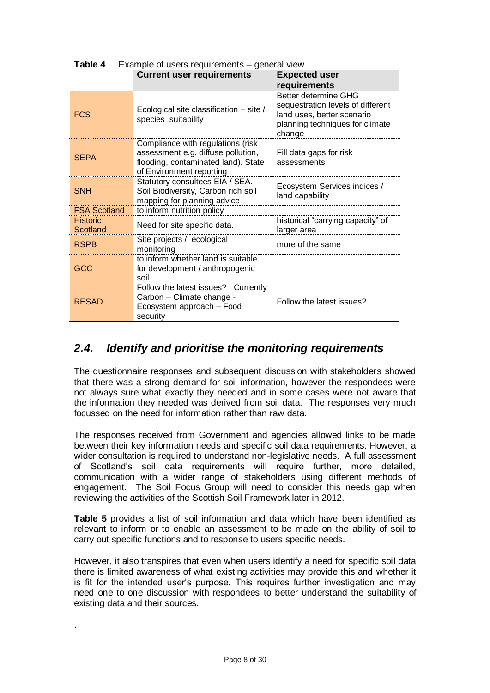|                             | $\frac{1}{2}$ and $\frac{1}{2}$ complete the second requirements general views                                                             |                                                                                                                                      |  |  |  |  |
|-----------------------------|--------------------------------------------------------------------------------------------------------------------------------------------|--------------------------------------------------------------------------------------------------------------------------------------|--|--|--|--|
|                             | <b>Current user requirements</b>                                                                                                           | <b>Expected user</b>                                                                                                                 |  |  |  |  |
|                             |                                                                                                                                            | requirements                                                                                                                         |  |  |  |  |
| <b>FCS</b>                  | Ecological site classification – site /<br>species suitability                                                                             | Better determine GHG<br>sequestration levels of different<br>land uses, better scenario<br>planning techniques for climate<br>change |  |  |  |  |
| <b>SEPA</b>                 | Compliance with regulations (risk<br>assessment e.g. diffuse pollution,<br>flooding, contaminated land). State<br>of Environment reporting | Fill data gaps for risk<br>assessments                                                                                               |  |  |  |  |
| <b>SNH</b>                  | Statutory consultees EIA / SEA.<br>Soil Biodiversity, Carbon rich soil<br>mapping for planning advice                                      | Ecosystem Services indices /<br>land capability                                                                                      |  |  |  |  |
| <b>FSA Scotland</b>         | to inform nutrition policy                                                                                                                 |                                                                                                                                      |  |  |  |  |
| <b>Historic</b><br>Scotland | Need for site specific data.                                                                                                               | historical "carrying capacity" of<br>larger area                                                                                     |  |  |  |  |
| <b>RSPB</b>                 | Site projects / ecological<br>monitoring                                                                                                   | more of the same                                                                                                                     |  |  |  |  |
| <b>GCC</b>                  | to inform whether land is suitable<br>for development / anthropogenic<br>soil                                                              |                                                                                                                                      |  |  |  |  |
| <b>RESAD</b>                | Follow the latest issues? Currently<br>Carbon - Climate change -<br>Ecosystem approach - Food<br>security                                  | Follow the latest issues?                                                                                                            |  |  |  |  |

## **Table 4** Example of users requirements – general view

## <span id="page-8-0"></span>*2.4. Identify and prioritise the monitoring requirements*

The questionnaire responses and subsequent discussion with stakeholders showed that there was a strong demand for soil information, however the respondees were not always sure what exactly they needed and in some cases were not aware that the information they needed was derived from soil data. The responses very much focussed on the need for information rather than raw data.

The responses received from Government and agencies allowed links to be made between their key information needs and specific soil data requirements. However, a wider consultation is required to understand non-legislative needs. A full assessment of Scotland's soil data requirements will require further, more detailed, communication with a wider range of stakeholders using different methods of engagement. The Soil Focus Group will need to consider this needs gap when reviewing the activities of the Scottish Soil Framework later in 2012.

**Table 5** provides a list of soil information and data which have been identified as relevant to inform or to enable an assessment to be made on the ability of soil to carry out specific functions and to response to users specific needs.

However, it also transpires that even when users identify a need for specific soil data there is limited awareness of what existing activities may provide this and whether it is fit for the intended user's purpose. This requires further investigation and may need one to one discussion with respondees to better understand the suitability of existing data and their sources.

.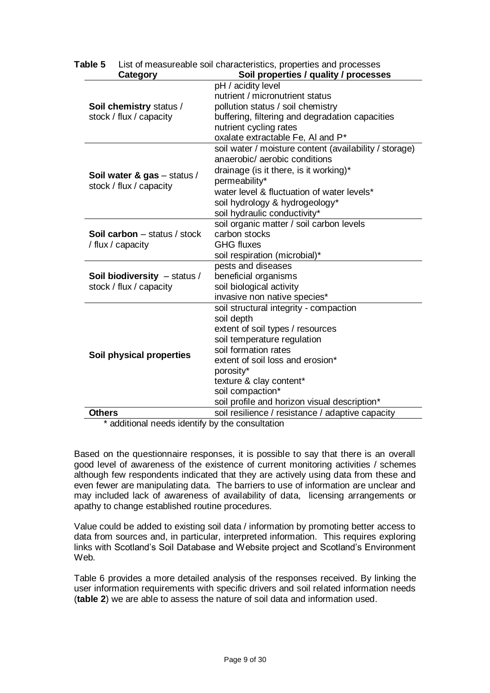| pH / acidity level<br>nutrient / micronutrient status<br>pollution status / soil chemistry<br>Soil chemistry status /<br>stock / flux / capacity<br>buffering, filtering and degradation capacities<br>nutrient cycling rates<br>oxalate extractable Fe, AI and P*<br>soil water / moisture content (availability / storage)<br>anaerobic/aerobic conditions<br>drainage (is it there, is it working)*<br>Soil water & gas - status /<br>permeability*<br>stock / flux / capacity<br>water level & fluctuation of water levels*<br>soil hydrology & hydrogeology*<br>soil hydraulic conductivity*<br>soil organic matter / soil carbon levels<br>carbon stocks<br><b>Soil carbon</b> – status / stock<br><b>GHG fluxes</b><br>/ flux / capacity<br>soil respiration (microbial)*<br>pests and diseases<br>beneficial organisms<br>Soil biodiversity - status /<br>soil biological activity<br>stock / flux / capacity<br>invasive non native species*<br>soil structural integrity - compaction<br>soil depth<br>extent of soil types / resources<br>soil temperature regulation<br>soil formation rates<br>Soil physical properties<br>extent of soil loss and erosion*<br>porosity*<br>texture & clay content*<br>soil compaction*<br>soil profile and horizon visual description*<br><b>Others</b> | Category | Soil properties / quality / processes            |
|-------------------------------------------------------------------------------------------------------------------------------------------------------------------------------------------------------------------------------------------------------------------------------------------------------------------------------------------------------------------------------------------------------------------------------------------------------------------------------------------------------------------------------------------------------------------------------------------------------------------------------------------------------------------------------------------------------------------------------------------------------------------------------------------------------------------------------------------------------------------------------------------------------------------------------------------------------------------------------------------------------------------------------------------------------------------------------------------------------------------------------------------------------------------------------------------------------------------------------------------------------------------------------------------------------|----------|--------------------------------------------------|
|                                                                                                                                                                                                                                                                                                                                                                                                                                                                                                                                                                                                                                                                                                                                                                                                                                                                                                                                                                                                                                                                                                                                                                                                                                                                                                       |          |                                                  |
|                                                                                                                                                                                                                                                                                                                                                                                                                                                                                                                                                                                                                                                                                                                                                                                                                                                                                                                                                                                                                                                                                                                                                                                                                                                                                                       |          |                                                  |
|                                                                                                                                                                                                                                                                                                                                                                                                                                                                                                                                                                                                                                                                                                                                                                                                                                                                                                                                                                                                                                                                                                                                                                                                                                                                                                       |          |                                                  |
|                                                                                                                                                                                                                                                                                                                                                                                                                                                                                                                                                                                                                                                                                                                                                                                                                                                                                                                                                                                                                                                                                                                                                                                                                                                                                                       |          |                                                  |
|                                                                                                                                                                                                                                                                                                                                                                                                                                                                                                                                                                                                                                                                                                                                                                                                                                                                                                                                                                                                                                                                                                                                                                                                                                                                                                       |          |                                                  |
|                                                                                                                                                                                                                                                                                                                                                                                                                                                                                                                                                                                                                                                                                                                                                                                                                                                                                                                                                                                                                                                                                                                                                                                                                                                                                                       |          |                                                  |
|                                                                                                                                                                                                                                                                                                                                                                                                                                                                                                                                                                                                                                                                                                                                                                                                                                                                                                                                                                                                                                                                                                                                                                                                                                                                                                       |          |                                                  |
|                                                                                                                                                                                                                                                                                                                                                                                                                                                                                                                                                                                                                                                                                                                                                                                                                                                                                                                                                                                                                                                                                                                                                                                                                                                                                                       |          |                                                  |
|                                                                                                                                                                                                                                                                                                                                                                                                                                                                                                                                                                                                                                                                                                                                                                                                                                                                                                                                                                                                                                                                                                                                                                                                                                                                                                       |          |                                                  |
|                                                                                                                                                                                                                                                                                                                                                                                                                                                                                                                                                                                                                                                                                                                                                                                                                                                                                                                                                                                                                                                                                                                                                                                                                                                                                                       |          |                                                  |
|                                                                                                                                                                                                                                                                                                                                                                                                                                                                                                                                                                                                                                                                                                                                                                                                                                                                                                                                                                                                                                                                                                                                                                                                                                                                                                       |          |                                                  |
|                                                                                                                                                                                                                                                                                                                                                                                                                                                                                                                                                                                                                                                                                                                                                                                                                                                                                                                                                                                                                                                                                                                                                                                                                                                                                                       |          |                                                  |
|                                                                                                                                                                                                                                                                                                                                                                                                                                                                                                                                                                                                                                                                                                                                                                                                                                                                                                                                                                                                                                                                                                                                                                                                                                                                                                       |          |                                                  |
|                                                                                                                                                                                                                                                                                                                                                                                                                                                                                                                                                                                                                                                                                                                                                                                                                                                                                                                                                                                                                                                                                                                                                                                                                                                                                                       |          |                                                  |
|                                                                                                                                                                                                                                                                                                                                                                                                                                                                                                                                                                                                                                                                                                                                                                                                                                                                                                                                                                                                                                                                                                                                                                                                                                                                                                       |          |                                                  |
|                                                                                                                                                                                                                                                                                                                                                                                                                                                                                                                                                                                                                                                                                                                                                                                                                                                                                                                                                                                                                                                                                                                                                                                                                                                                                                       |          |                                                  |
|                                                                                                                                                                                                                                                                                                                                                                                                                                                                                                                                                                                                                                                                                                                                                                                                                                                                                                                                                                                                                                                                                                                                                                                                                                                                                                       |          |                                                  |
|                                                                                                                                                                                                                                                                                                                                                                                                                                                                                                                                                                                                                                                                                                                                                                                                                                                                                                                                                                                                                                                                                                                                                                                                                                                                                                       |          |                                                  |
|                                                                                                                                                                                                                                                                                                                                                                                                                                                                                                                                                                                                                                                                                                                                                                                                                                                                                                                                                                                                                                                                                                                                                                                                                                                                                                       |          |                                                  |
|                                                                                                                                                                                                                                                                                                                                                                                                                                                                                                                                                                                                                                                                                                                                                                                                                                                                                                                                                                                                                                                                                                                                                                                                                                                                                                       |          |                                                  |
|                                                                                                                                                                                                                                                                                                                                                                                                                                                                                                                                                                                                                                                                                                                                                                                                                                                                                                                                                                                                                                                                                                                                                                                                                                                                                                       |          |                                                  |
|                                                                                                                                                                                                                                                                                                                                                                                                                                                                                                                                                                                                                                                                                                                                                                                                                                                                                                                                                                                                                                                                                                                                                                                                                                                                                                       |          |                                                  |
|                                                                                                                                                                                                                                                                                                                                                                                                                                                                                                                                                                                                                                                                                                                                                                                                                                                                                                                                                                                                                                                                                                                                                                                                                                                                                                       |          |                                                  |
|                                                                                                                                                                                                                                                                                                                                                                                                                                                                                                                                                                                                                                                                                                                                                                                                                                                                                                                                                                                                                                                                                                                                                                                                                                                                                                       |          |                                                  |
|                                                                                                                                                                                                                                                                                                                                                                                                                                                                                                                                                                                                                                                                                                                                                                                                                                                                                                                                                                                                                                                                                                                                                                                                                                                                                                       |          |                                                  |
|                                                                                                                                                                                                                                                                                                                                                                                                                                                                                                                                                                                                                                                                                                                                                                                                                                                                                                                                                                                                                                                                                                                                                                                                                                                                                                       |          |                                                  |
|                                                                                                                                                                                                                                                                                                                                                                                                                                                                                                                                                                                                                                                                                                                                                                                                                                                                                                                                                                                                                                                                                                                                                                                                                                                                                                       |          |                                                  |
|                                                                                                                                                                                                                                                                                                                                                                                                                                                                                                                                                                                                                                                                                                                                                                                                                                                                                                                                                                                                                                                                                                                                                                                                                                                                                                       |          |                                                  |
|                                                                                                                                                                                                                                                                                                                                                                                                                                                                                                                                                                                                                                                                                                                                                                                                                                                                                                                                                                                                                                                                                                                                                                                                                                                                                                       |          |                                                  |
|                                                                                                                                                                                                                                                                                                                                                                                                                                                                                                                                                                                                                                                                                                                                                                                                                                                                                                                                                                                                                                                                                                                                                                                                                                                                                                       |          |                                                  |
|                                                                                                                                                                                                                                                                                                                                                                                                                                                                                                                                                                                                                                                                                                                                                                                                                                                                                                                                                                                                                                                                                                                                                                                                                                                                                                       |          |                                                  |
|                                                                                                                                                                                                                                                                                                                                                                                                                                                                                                                                                                                                                                                                                                                                                                                                                                                                                                                                                                                                                                                                                                                                                                                                                                                                                                       |          | soil resilience / resistance / adaptive capacity |

**Table 5** List of measureable soil characteristics, properties and processes

\* additional needs identify by the consultation

Based on the questionnaire responses, it is possible to say that there is an overall good level of awareness of the existence of current monitoring activities / schemes although few respondents indicated that they are actively using data from these and even fewer are manipulating data. The barriers to use of information are unclear and may included lack of awareness of availability of data, licensing arrangements or apathy to change established routine procedures.

Value could be added to existing soil data / information by promoting better access to data from sources and, in particular, interpreted information. This requires exploring links with Scotland's Soil Database and Website project and Scotland's Environment Web.

Table 6 provides a more detailed analysis of the responses received. By linking the user information requirements with specific drivers and soil related information needs (**table 2**) we are able to assess the nature of soil data and information used.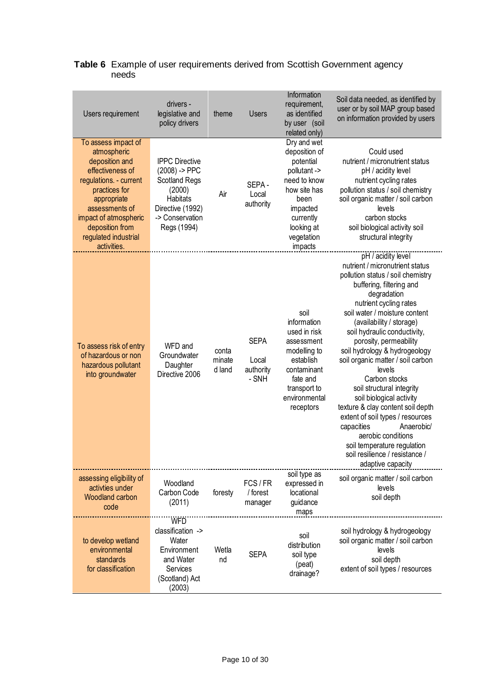| Users requirement                                                                                                                                                                                                                       | drivers -<br>legislative and<br>policy drivers                                                                                               | theme                     | <b>Users</b>                               | Information<br>requirement,<br>as identified<br>by user (soil<br>related only)                                                                                    | Soil data needed, as identified by<br>user or by soil MAP group based<br>on information provided by users                                                                                                                                                                                                                                                                                                                                                                                                                                                                                                                                                         |
|-----------------------------------------------------------------------------------------------------------------------------------------------------------------------------------------------------------------------------------------|----------------------------------------------------------------------------------------------------------------------------------------------|---------------------------|--------------------------------------------|-------------------------------------------------------------------------------------------------------------------------------------------------------------------|-------------------------------------------------------------------------------------------------------------------------------------------------------------------------------------------------------------------------------------------------------------------------------------------------------------------------------------------------------------------------------------------------------------------------------------------------------------------------------------------------------------------------------------------------------------------------------------------------------------------------------------------------------------------|
| To assess impact of<br>atmospheric<br>deposition and<br>effectiveness of<br>regulations. - current<br>practices for<br>appropriate<br>assessments of<br>impact of atmospheric<br>deposition from<br>regulated industrial<br>activities. | <b>IPPC Directive</b><br>$(2008)$ -> PPC<br><b>Scotland Regs</b><br>(2000)<br>Habitats<br>Directive (1992)<br>-> Conservation<br>Regs (1994) | Air                       | SEPA-<br>Local<br>authority                | Dry and wet<br>deposition of<br>potential<br>pollutant -><br>need to know<br>how site has<br>been<br>impacted<br>currently<br>looking at<br>vegetation<br>impacts | Could used<br>nutrient / micronutrient status<br>pH / acidity level<br>nutrient cycling rates<br>pollution status / soil chemistry<br>soil organic matter / soil carbon<br>levels<br>carbon stocks<br>soil biological activity soil<br>structural integrity                                                                                                                                                                                                                                                                                                                                                                                                       |
| To assess risk of entry<br>of hazardous or non<br>hazardous pollutant<br>into groundwater                                                                                                                                               | WFD and<br>Groundwater<br>Daughter<br>Directive 2006                                                                                         | conta<br>minate<br>d land | <b>SEPA</b><br>Local<br>authority<br>- SNH | soil<br>information<br>used in risk<br>assessment<br>modelling to<br>establish<br>contaminant<br>fate and<br>transport to<br>environmental<br>receptors           | pH / acidity level<br>nutrient / micronutrient status<br>pollution status / soil chemistry<br>buffering, filtering and<br>degradation<br>nutrient cycling rates<br>soil water / moisture content<br>(availability / storage)<br>soil hydraulic conductivity,<br>porosity, permeability<br>soil hydrology & hydrogeology<br>soil organic matter / soil carbon<br>levels<br>Carbon stocks<br>soil structural integrity<br>soil biological activity<br>texture & clay content soil depth<br>extent of soil types / resources<br>capacities<br>Anaerobic/<br>aerobic conditions<br>soil temperature regulation<br>soil resilience / resistance /<br>adaptive capacity |
| assessing eligibility of<br>activties under<br>Woodland carbon<br>code                                                                                                                                                                  | Woodland<br>Carbon Code<br>(2011)                                                                                                            | foresty                   | FCS/FR<br>/ forest<br>manager              | soil type as<br>expressed in<br>locational<br>guidance<br>maps                                                                                                    | soil organic matter / soil carbon<br>levels<br>soil depth                                                                                                                                                                                                                                                                                                                                                                                                                                                                                                                                                                                                         |
| to develop wetland<br>environmental<br>standards<br>for classification                                                                                                                                                                  | <b>WFD</b><br>classification -><br>Water<br>Environment<br>and Water<br>Services<br>(Scotland) Act<br>(2003)                                 | Wetla<br>nd               | <b>SEPA</b>                                | soil<br>distribution<br>soil type<br>(peat)<br>drainage?                                                                                                          | soil hydrology & hydrogeology<br>soil organic matter / soil carbon<br>levels<br>soil depth<br>extent of soil types / resources                                                                                                                                                                                                                                                                                                                                                                                                                                                                                                                                    |

## **Table 6** Example of user requirements derived from Scottish Government agency needs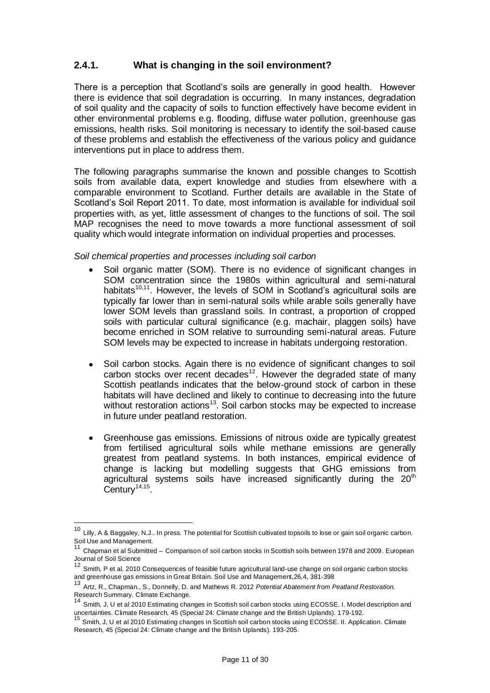## <span id="page-11-0"></span>**2.4.1. What is changing in the soil environment?**

There is a perception that Scotland's soils are generally in good health. However there is evidence that soil degradation is occurring. In many instances, degradation of soil quality and the capacity of soils to function effectively have become evident in other environmental problems e.g. flooding, diffuse water pollution, greenhouse gas emissions, health risks. Soil monitoring is necessary to identify the soil-based cause of these problems and establish the effectiveness of the various policy and guidance interventions put in place to address them.

The following paragraphs summarise the known and possible changes to Scottish soils from available data, expert knowledge and studies from elsewhere with a comparable environment to Scotland. Further details are available in the State of Scotland's Soil Report 2011. To date, most information is available for individual soil properties with, as yet, little assessment of changes to the functions of soil. The soil MAP recognises the need to move towards a more functional assessment of soil quality which would integrate information on individual properties and processes.

#### <span id="page-11-1"></span>*Soil chemical properties and processes including soil carbon*

- Soil organic matter (SOM). There is no evidence of significant changes in SOM concentration since the 1980s within agricultural and semi-natural habitats<sup>10,11</sup>. However, the levels of SOM in Scotland's agricultural soils are typically far lower than in semi-natural soils while arable soils generally have lower SOM levels than grassland soils. In contrast, a proportion of cropped soils with particular cultural significance (e.g. machair, plaggen soils) have become enriched in SOM relative to surrounding semi-natural areas. Future SOM levels may be expected to increase in habitats undergoing restoration.
- Soil carbon stocks. Again there is no evidence of significant changes to soil  $\bullet$ carbon stocks over recent decades<sup>12</sup>. However the degraded state of many Scottish peatlands indicates that the below-ground stock of carbon in these habitats will have declined and likely to continue to decreasing into the future without restoration actions<sup>13</sup>. Soil carbon stocks may be expected to increase in future under peatland restoration.
- Greenhouse gas emissions. Emissions of nitrous oxide are typically greatest  $\bullet$ from fertilised agricultural soils while methane emissions are generally greatest from peatland systems. In both instances, empirical evidence of change is lacking but modelling suggests that GHG emissions from agricultural systems soils have increased significantly during the  $20<sup>th</sup>$ Century<sup>14,15</sup>.

-

 $10$  Lilly, A & Baggaley, N.J.. In press. The potential for Scottish cultivated topsoils to lose or gain soil organic carbon. Soil Use and Management.

<sup>11</sup> Chapman et al Submitted – Comparison of soil carbon stocks in Scottish soils between 1978 and 2009. European Journal of Soil Science

<sup>12</sup> Smith, P et al. 2010 Consequences of feasible future agricultural land-use change on soil organic carbon stocks and greenhouse gas emissions in Great Britain. Soil Use and Management,26,4, 381-398

<sup>13</sup> Artz, R., Chapman., S., Donnelly, D. and Mathews R. 2012 *Potential Abatement from Peatland Restoration.*  Research Summary. Climate Exchange.

<sup>&</sup>lt;sup>14</sup> Smith, J, U et al 2010 Estimating changes in Scottish soil carbon stocks using ECOSSE. I. Model description and uncertainties. Climate Research, 45 (Special 24: Climate change and the British Uplands). 179-192.<br><sup>15</sup> Cmith, 1111 at al. 2012 The United States of the British Uplands). 179-192.

<sup>&</sup>lt;sup>5</sup> Smith, J, U et al 2010 Estimating changes in Scottish soil carbon stocks using ECOSSE. II. Application. Climate Research, 45 (Special 24: Climate change and the British Uplands). 193-205.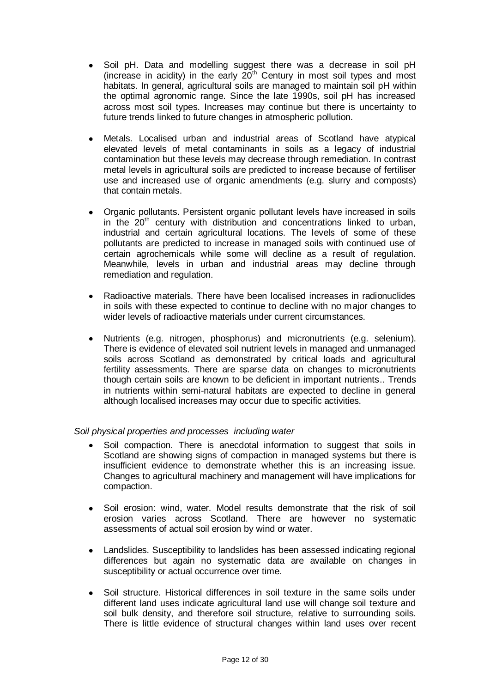- Soil pH. Data and modelling suggest there was a decrease in soil pH (increase in acidity) in the early  $20<sup>th</sup>$  Century in most soil types and most habitats. In general, agricultural soils are managed to maintain soil pH within the optimal agronomic range. Since the late 1990s, soil pH has increased across most soil types. Increases may continue but there is uncertainty to future trends linked to future changes in atmospheric pollution.
- Metals. Localised urban and industrial areas of Scotland have atypical elevated levels of metal contaminants in soils as a legacy of industrial contamination but these levels may decrease through remediation. In contrast metal levels in agricultural soils are predicted to increase because of fertiliser use and increased use of organic amendments (e.g. slurry and composts) that contain metals.
- Organic pollutants. Persistent organic pollutant levels have increased in soils in the  $20<sup>th</sup>$  century with distribution and concentrations linked to urban, industrial and certain agricultural locations. The levels of some of these pollutants are predicted to increase in managed soils with continued use of certain agrochemicals while some will decline as a result of regulation. Meanwhile, levels in urban and industrial areas may decline through remediation and regulation.
- Radioactive materials. There have been localised increases in radionuclides in soils with these expected to continue to decline with no major changes to wider levels of radioactive materials under current circumstances.
- Nutrients (e.g. nitrogen, phosphorus) and micronutrients (e.g. selenium). There is evidence of elevated soil nutrient levels in managed and unmanaged soils across Scotland as demonstrated by critical loads and agricultural fertility assessments. There are sparse data on changes to micronutrients though certain soils are known to be deficient in important nutrients.. Trends in nutrients within semi-natural habitats are expected to decline in general although localised increases may occur due to specific activities.

### <span id="page-12-0"></span>*Soil physical properties and processes including water*

- Soil compaction. There is anecdotal information to suggest that soils in Scotland are showing signs of compaction in managed systems but there is insufficient evidence to demonstrate whether this is an increasing issue. Changes to agricultural machinery and management will have implications for compaction.
- Soil erosion: wind, water. Model results demonstrate that the risk of soil erosion varies across Scotland. There are however no systematic assessments of actual soil erosion by wind or water.
- Landslides. Susceptibility to landslides has been assessed indicating regional  $\bullet$ differences but again no systematic data are available on changes in susceptibility or actual occurrence over time.
- Soil structure. Historical differences in soil texture in the same soils under different land uses indicate agricultural land use will change soil texture and soil bulk density, and therefore soil structure, relative to surrounding soils. There is little evidence of structural changes within land uses over recent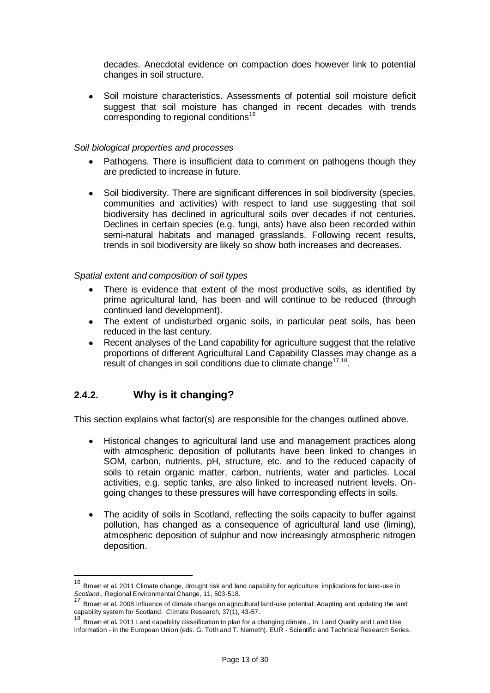decades. Anecdotal evidence on compaction does however link to potential changes in soil structure.

Soil moisture characteristics. Assessments of potential soil moisture deficit  $\bullet$ suggest that soil moisture has changed in recent decades with trends corresponding to regional conditions<sup>16</sup>

### <span id="page-13-0"></span>*Soil biological properties and processes*

- Pathogens. There is insufficient data to comment on pathogens though they are predicted to increase in future.
- Soil biodiversity. There are significant differences in soil biodiversity (species, communities and activities) with respect to land use suggesting that soil biodiversity has declined in agricultural soils over decades if not centuries. Declines in certain species (e.g. fungi, ants) have also been recorded within semi-natural habitats and managed grasslands. Following recent results, trends in soil biodiversity are likely so show both increases and decreases.

#### <span id="page-13-1"></span>*Spatial extent and composition of soil types*

- There is evidence that extent of the most productive soils, as identified by prime agricultural land, has been and will continue to be reduced (through continued land development).
- The extent of undisturbed organic soils, in particular peat soils, has been reduced in the last century.
- Recent analyses of the Land capability for agriculture suggest that the relative proportions of different Agricultural Land Capability Classes may change as a result of changes in soil conditions due to climate change $17,18$ .

## <span id="page-13-2"></span>**2.4.2. Why is it changing?**

-

This section explains what factor(s) are responsible for the changes outlined above.

- Historical changes to agricultural land use and management practices along with atmospheric deposition of pollutants have been linked to changes in SOM, carbon, nutrients, pH, structure, etc. and to the reduced capacity of soils to retain organic matter, carbon, nutrients, water and particles. Local activities, e.g. septic tanks, are also linked to increased nutrient levels. Ongoing changes to these pressures will have corresponding effects in soils.
- The acidity of soils in Scotland, reflecting the soils capacity to buffer against  $\bullet$ pollution, has changed as a consequence of agricultural land use (liming), atmospheric deposition of sulphur and now increasingly atmospheric nitrogen deposition.

<sup>&</sup>lt;sup>16</sup> Brown et al. 2011 Climate change, drought risk and land capability for agriculture: implications for land-use in *Scotland.,* Regional Environmental Change, 11, 503-518.

<sup>&</sup>lt;sup>17</sup> Brown et al. 2008 Influence of climate change on agricultural land-use potential: Adapting and updating the land capability system for Scotland. Climate Research, 37(1), 43-57.

<sup>18</sup> Brown et al**.** 2011 Land capability classification to plan for a changing climate*.,* In: Land Quality and Land Use Information - in the European Union (eds. G. Toth and T. Nemeth). EUR - Scientific and Technical Research Series.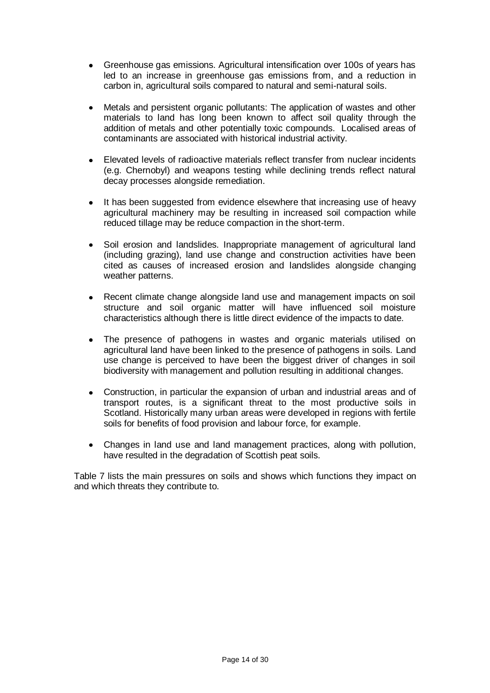- Greenhouse gas emissions. Agricultural intensification over 100s of years has led to an increase in greenhouse gas emissions from, and a reduction in carbon in, agricultural soils compared to natural and semi-natural soils.
- Metals and persistent organic pollutants: The application of wastes and other materials to land has long been known to affect soil quality through the addition of metals and other potentially toxic compounds. Localised areas of contaminants are associated with historical industrial activity.
- Elevated levels of radioactive materials reflect transfer from nuclear incidents (e.g. Chernobyl) and weapons testing while declining trends reflect natural decay processes alongside remediation.
- It has been suggested from evidence elsewhere that increasing use of heavy agricultural machinery may be resulting in increased soil compaction while reduced tillage may be reduce compaction in the short-term.
- Soil erosion and landslides. Inappropriate management of agricultural land (including grazing), land use change and construction activities have been cited as causes of increased erosion and landslides alongside changing weather patterns.
- Recent climate change alongside land use and management impacts on soil structure and soil organic matter will have influenced soil moisture characteristics although there is little direct evidence of the impacts to date.
- The presence of pathogens in wastes and organic materials utilised on agricultural land have been linked to the presence of pathogens in soils. Land use change is perceived to have been the biggest driver of changes in soil biodiversity with management and pollution resulting in additional changes.
- Construction, in particular the expansion of urban and industrial areas and of  $\bullet$ transport routes, is a significant threat to the most productive soils in Scotland. Historically many urban areas were developed in regions with fertile soils for benefits of food provision and labour force, for example.
- Changes in land use and land management practices, along with pollution, have resulted in the degradation of Scottish peat soils.

Table 7 lists the main pressures on soils and shows which functions they impact on and which threats they contribute to.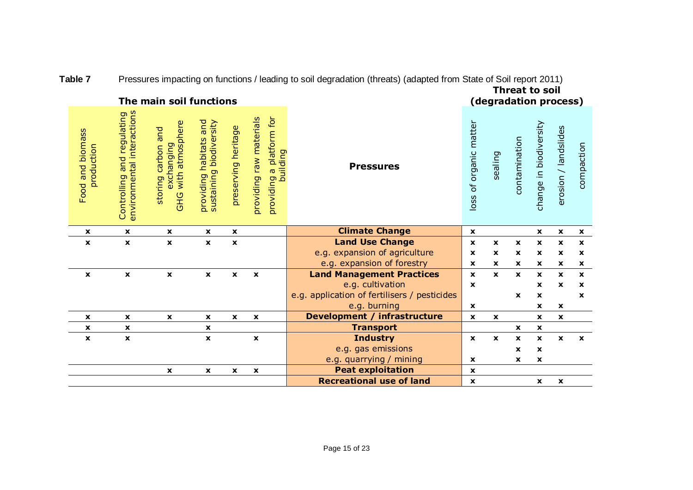| (degradation process)<br>The main soil functions<br>environmental interactions<br>and regulating<br>providing a platform for<br>providing raw materials<br>providing habitats and<br>sustaining biodiversity<br>loss of organic matter<br>GHG with atmosphere<br>change in biodiversity<br>preserving heritage<br>erosion / landslides<br>storing carbon and<br>Food and biomass<br>contamination<br>exchanging<br>compaction<br>production<br>building<br>sealing<br><b>Pressures</b><br>Controlling<br><b>Climate Change</b><br>$\boldsymbol{\mathsf{x}}$<br>$\mathbf{x}$<br>$\mathbf x$<br>$\mathbf x$<br>$\mathbf{x}$<br>$\mathbf{x}$<br>$\mathbf x$<br>$\mathbf x$<br>$\boldsymbol{\mathsf{x}}$<br><b>Land Use Change</b><br>$\pmb{\mathsf{x}}$<br>$\mathbf x$<br>$\mathbf{x}$<br>$\mathbf{x}$<br>$\mathbf x$<br>$\mathbf{x}$<br>$\mathbf{x}$<br>$\mathbf{x}$<br>$\mathbf x$<br>$\mathbf{x}$<br>$\mathbf{x}$<br>e.g. expansion of agriculture<br>$\mathbf{x}$<br>X<br>$\boldsymbol{\mathsf{x}}$<br>$\mathbf{x}$<br>$\mathbf x$<br>$\mathbf x$<br>e.g. expansion of forestry<br>$\boldsymbol{\mathsf{x}}$<br>$\mathbf x$<br>$\mathbf x$<br>X<br>X<br>X<br><b>Land Management Practices</b><br>$\mathbf{x}$<br>$\boldsymbol{\mathsf{x}}$<br>$\mathbf{x}$<br>$\mathbf{x}$<br>$\mathbf{x}$<br>$\mathbf{x}$<br>$\mathbf x$<br>$\boldsymbol{\mathsf{x}}$<br>$\boldsymbol{\mathsf{x}}$<br>$\mathbf x$<br>$\mathbf{x}$<br>$\mathbf{x}$<br>e.g. cultivation<br>$\boldsymbol{\mathsf{x}}$<br>$\pmb{\times}$<br>$\boldsymbol{\mathsf{x}}$<br>x<br>e.g. application of fertilisers / pesticides<br>$\mathbf{x}$<br>$\mathbf{x}$<br>$\mathbf{x}$<br>e.g. burning<br>$\mathbf x$<br>$\mathbf x$<br>$\mathbf{x}$<br><b>Development / infrastructure</b><br>$\mathbf{x}$<br>$\mathbf x$<br>$\mathbf x$<br>$\boldsymbol{\mathsf{x}}$<br>$\mathbf{x}$<br>$\boldsymbol{\mathsf{x}}$<br>$\mathbf{x}$<br>$\mathbf x$<br>$\mathbf{x}$<br>$\mathbf{x}$<br><b>Transport</b><br>$\mathbf{x}$<br>$\boldsymbol{\mathsf{x}}$<br>$\mathbf x$<br>$\mathbf x$<br>$\mathbf x$<br><b>Industry</b><br>$\pmb{\mathsf{x}}$<br>$\boldsymbol{\mathsf{x}}$<br>$\mathbf{x}$<br>$\mathbf{x}$<br>$\mathbf{x}$<br>$\pmb{\mathsf{x}}$<br>$\mathbf{x}$<br>$\mathbf{x}$<br>$\mathbf x$<br>$\mathbf{x}$<br>e.g. gas emissions<br>$\mathbf{x}$<br>$\mathbf{x}$<br>e.g. quarrying / mining<br>$\mathbf x$<br>$\mathbf{x}$<br>X<br><b>Peat exploitation</b><br>$\mathbf{x}$<br>$\boldsymbol{\mathsf{x}}$<br>$\mathbf{x}$<br>$\pmb{\times}$<br>$\boldsymbol{\mathsf{x}}$ |  |  |  |                                 |                           | <b>Threat to soil</b> |              |                    |  |
|----------------------------------------------------------------------------------------------------------------------------------------------------------------------------------------------------------------------------------------------------------------------------------------------------------------------------------------------------------------------------------------------------------------------------------------------------------------------------------------------------------------------------------------------------------------------------------------------------------------------------------------------------------------------------------------------------------------------------------------------------------------------------------------------------------------------------------------------------------------------------------------------------------------------------------------------------------------------------------------------------------------------------------------------------------------------------------------------------------------------------------------------------------------------------------------------------------------------------------------------------------------------------------------------------------------------------------------------------------------------------------------------------------------------------------------------------------------------------------------------------------------------------------------------------------------------------------------------------------------------------------------------------------------------------------------------------------------------------------------------------------------------------------------------------------------------------------------------------------------------------------------------------------------------------------------------------------------------------------------------------------------------------------------------------------------------------------------------------------------------------------------------------------------------------------------------------------------------------------------------------------------------------------------------------------------------------------------------------------------------------------------------------------------------------------------------------------------------------------------------------------------------------|--|--|--|---------------------------------|---------------------------|-----------------------|--------------|--------------------|--|
|                                                                                                                                                                                                                                                                                                                                                                                                                                                                                                                                                                                                                                                                                                                                                                                                                                                                                                                                                                                                                                                                                                                                                                                                                                                                                                                                                                                                                                                                                                                                                                                                                                                                                                                                                                                                                                                                                                                                                                                                                                                                                                                                                                                                                                                                                                                                                                                                                                                                                                                            |  |  |  |                                 |                           |                       |              |                    |  |
|                                                                                                                                                                                                                                                                                                                                                                                                                                                                                                                                                                                                                                                                                                                                                                                                                                                                                                                                                                                                                                                                                                                                                                                                                                                                                                                                                                                                                                                                                                                                                                                                                                                                                                                                                                                                                                                                                                                                                                                                                                                                                                                                                                                                                                                                                                                                                                                                                                                                                                                            |  |  |  |                                 |                           |                       |              |                    |  |
|                                                                                                                                                                                                                                                                                                                                                                                                                                                                                                                                                                                                                                                                                                                                                                                                                                                                                                                                                                                                                                                                                                                                                                                                                                                                                                                                                                                                                                                                                                                                                                                                                                                                                                                                                                                                                                                                                                                                                                                                                                                                                                                                                                                                                                                                                                                                                                                                                                                                                                                            |  |  |  |                                 |                           |                       |              |                    |  |
|                                                                                                                                                                                                                                                                                                                                                                                                                                                                                                                                                                                                                                                                                                                                                                                                                                                                                                                                                                                                                                                                                                                                                                                                                                                                                                                                                                                                                                                                                                                                                                                                                                                                                                                                                                                                                                                                                                                                                                                                                                                                                                                                                                                                                                                                                                                                                                                                                                                                                                                            |  |  |  |                                 |                           |                       |              |                    |  |
|                                                                                                                                                                                                                                                                                                                                                                                                                                                                                                                                                                                                                                                                                                                                                                                                                                                                                                                                                                                                                                                                                                                                                                                                                                                                                                                                                                                                                                                                                                                                                                                                                                                                                                                                                                                                                                                                                                                                                                                                                                                                                                                                                                                                                                                                                                                                                                                                                                                                                                                            |  |  |  |                                 |                           |                       |              |                    |  |
|                                                                                                                                                                                                                                                                                                                                                                                                                                                                                                                                                                                                                                                                                                                                                                                                                                                                                                                                                                                                                                                                                                                                                                                                                                                                                                                                                                                                                                                                                                                                                                                                                                                                                                                                                                                                                                                                                                                                                                                                                                                                                                                                                                                                                                                                                                                                                                                                                                                                                                                            |  |  |  |                                 |                           |                       |              |                    |  |
|                                                                                                                                                                                                                                                                                                                                                                                                                                                                                                                                                                                                                                                                                                                                                                                                                                                                                                                                                                                                                                                                                                                                                                                                                                                                                                                                                                                                                                                                                                                                                                                                                                                                                                                                                                                                                                                                                                                                                                                                                                                                                                                                                                                                                                                                                                                                                                                                                                                                                                                            |  |  |  |                                 |                           |                       |              |                    |  |
|                                                                                                                                                                                                                                                                                                                                                                                                                                                                                                                                                                                                                                                                                                                                                                                                                                                                                                                                                                                                                                                                                                                                                                                                                                                                                                                                                                                                                                                                                                                                                                                                                                                                                                                                                                                                                                                                                                                                                                                                                                                                                                                                                                                                                                                                                                                                                                                                                                                                                                                            |  |  |  |                                 |                           |                       |              |                    |  |
|                                                                                                                                                                                                                                                                                                                                                                                                                                                                                                                                                                                                                                                                                                                                                                                                                                                                                                                                                                                                                                                                                                                                                                                                                                                                                                                                                                                                                                                                                                                                                                                                                                                                                                                                                                                                                                                                                                                                                                                                                                                                                                                                                                                                                                                                                                                                                                                                                                                                                                                            |  |  |  |                                 |                           |                       |              |                    |  |
|                                                                                                                                                                                                                                                                                                                                                                                                                                                                                                                                                                                                                                                                                                                                                                                                                                                                                                                                                                                                                                                                                                                                                                                                                                                                                                                                                                                                                                                                                                                                                                                                                                                                                                                                                                                                                                                                                                                                                                                                                                                                                                                                                                                                                                                                                                                                                                                                                                                                                                                            |  |  |  |                                 |                           |                       |              |                    |  |
|                                                                                                                                                                                                                                                                                                                                                                                                                                                                                                                                                                                                                                                                                                                                                                                                                                                                                                                                                                                                                                                                                                                                                                                                                                                                                                                                                                                                                                                                                                                                                                                                                                                                                                                                                                                                                                                                                                                                                                                                                                                                                                                                                                                                                                                                                                                                                                                                                                                                                                                            |  |  |  |                                 |                           |                       |              |                    |  |
|                                                                                                                                                                                                                                                                                                                                                                                                                                                                                                                                                                                                                                                                                                                                                                                                                                                                                                                                                                                                                                                                                                                                                                                                                                                                                                                                                                                                                                                                                                                                                                                                                                                                                                                                                                                                                                                                                                                                                                                                                                                                                                                                                                                                                                                                                                                                                                                                                                                                                                                            |  |  |  |                                 |                           |                       |              |                    |  |
|                                                                                                                                                                                                                                                                                                                                                                                                                                                                                                                                                                                                                                                                                                                                                                                                                                                                                                                                                                                                                                                                                                                                                                                                                                                                                                                                                                                                                                                                                                                                                                                                                                                                                                                                                                                                                                                                                                                                                                                                                                                                                                                                                                                                                                                                                                                                                                                                                                                                                                                            |  |  |  |                                 |                           |                       |              |                    |  |
|                                                                                                                                                                                                                                                                                                                                                                                                                                                                                                                                                                                                                                                                                                                                                                                                                                                                                                                                                                                                                                                                                                                                                                                                                                                                                                                                                                                                                                                                                                                                                                                                                                                                                                                                                                                                                                                                                                                                                                                                                                                                                                                                                                                                                                                                                                                                                                                                                                                                                                                            |  |  |  |                                 |                           |                       |              |                    |  |
|                                                                                                                                                                                                                                                                                                                                                                                                                                                                                                                                                                                                                                                                                                                                                                                                                                                                                                                                                                                                                                                                                                                                                                                                                                                                                                                                                                                                                                                                                                                                                                                                                                                                                                                                                                                                                                                                                                                                                                                                                                                                                                                                                                                                                                                                                                                                                                                                                                                                                                                            |  |  |  |                                 |                           |                       |              |                    |  |
|                                                                                                                                                                                                                                                                                                                                                                                                                                                                                                                                                                                                                                                                                                                                                                                                                                                                                                                                                                                                                                                                                                                                                                                                                                                                                                                                                                                                                                                                                                                                                                                                                                                                                                                                                                                                                                                                                                                                                                                                                                                                                                                                                                                                                                                                                                                                                                                                                                                                                                                            |  |  |  | <b>Recreational use of land</b> | $\boldsymbol{\mathsf{x}}$ |                       | $\mathbf{x}$ | $\pmb{\mathsf{x}}$ |  |

**Table 7** Pressures impacting on functions / leading to soil degradation (threats) (adapted from State of Soil report 2011)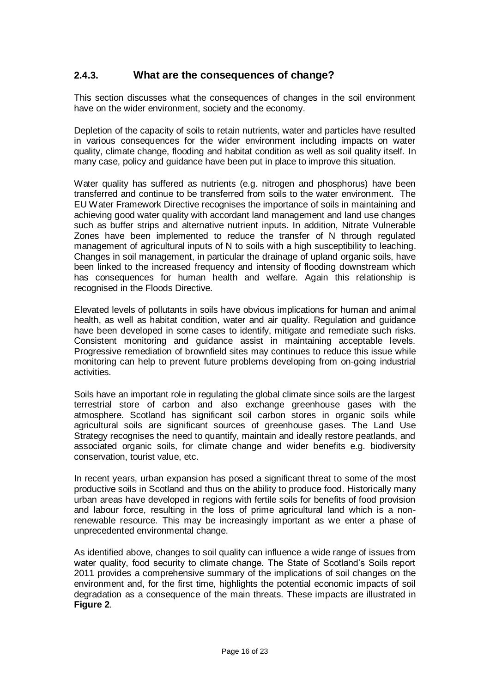## <span id="page-16-0"></span>**2.4.3. What are the consequences of change?**

This section discusses what the consequences of changes in the soil environment have on the wider environment, society and the economy.

Depletion of the capacity of soils to retain nutrients, water and particles have resulted in various consequences for the wider environment including impacts on water quality, climate change, flooding and habitat condition as well as soil quality itself. In many case, policy and guidance have been put in place to improve this situation.

Water quality has suffered as nutrients (e.g. nitrogen and phosphorus) have been transferred and continue to be transferred from soils to the water environment. The EU Water Framework Directive recognises the importance of soils in maintaining and achieving good water quality with accordant land management and land use changes such as buffer strips and alternative nutrient inputs. In addition, Nitrate Vulnerable Zones have been implemented to reduce the transfer of N through regulated management of agricultural inputs of N to soils with a high susceptibility to leaching. Changes in soil management, in particular the drainage of upland organic soils, have been linked to the increased frequency and intensity of flooding downstream which has consequences for human health and welfare. Again this relationship is recognised in the Floods Directive.

Elevated levels of pollutants in soils have obvious implications for human and animal health, as well as habitat condition, water and air quality. Regulation and guidance have been developed in some cases to identify, mitigate and remediate such risks. Consistent monitoring and guidance assist in maintaining acceptable levels. Progressive remediation of brownfield sites may continues to reduce this issue while monitoring can help to prevent future problems developing from on-going industrial activities.

Soils have an important role in regulating the global climate since soils are the largest terrestrial store of carbon and also exchange greenhouse gases with the atmosphere. Scotland has significant soil carbon stores in organic soils while agricultural soils are significant sources of greenhouse gases. The Land Use Strategy recognises the need to quantify, maintain and ideally restore peatlands, and associated organic soils, for climate change and wider benefits e.g. biodiversity conservation, tourist value, etc.

In recent years, urban expansion has posed a significant threat to some of the most productive soils in Scotland and thus on the ability to produce food. Historically many urban areas have developed in regions with fertile soils for benefits of food provision and labour force, resulting in the loss of prime agricultural land which is a nonrenewable resource. This may be increasingly important as we enter a phase of unprecedented environmental change.

As identified above, changes to soil quality can influence a wide range of issues from water quality, food security to climate change. The State of Scotland's Soils report 2011 provides a comprehensive summary of the implications of soil changes on the environment and, for the first time, highlights the potential economic impacts of soil degradation as a consequence of the main threats. These impacts are illustrated in **Figure 2**.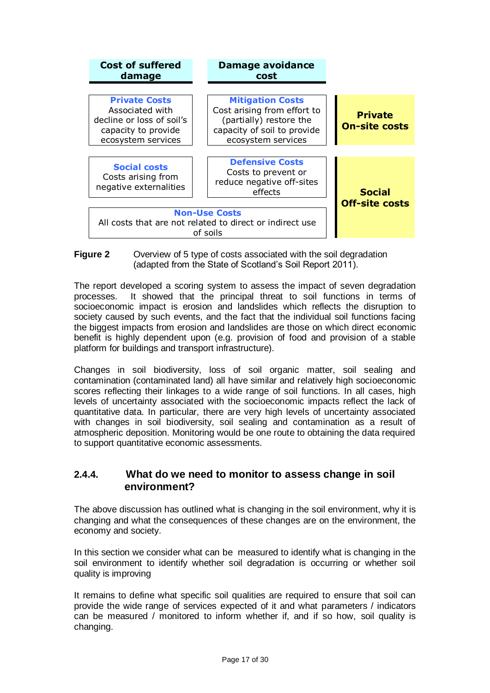

**Figure 2** Overview of 5 type of costs associated with the soil degradation (adapted from the State of Scotland's Soil Report 2011).

The report developed a scoring system to assess the impact of seven degradation processes. It showed that the principal threat to soil functions in terms of socioeconomic impact is erosion and landslides which reflects the disruption to society caused by such events, and the fact that the individual soil functions facing the biggest impacts from erosion and landslides are those on which direct economic benefit is highly dependent upon (e.g. provision of food and provision of a stable platform for buildings and transport infrastructure).

Changes in soil biodiversity, loss of soil organic matter, soil sealing and contamination (contaminated land) all have similar and relatively high socioeconomic scores reflecting their linkages to a wide range of soil functions. In all cases, high levels of uncertainty associated with the socioeconomic impacts reflect the lack of quantitative data. In particular, there are very high levels of uncertainty associated with changes in soil biodiversity, soil sealing and contamination as a result of atmospheric deposition. Monitoring would be one route to obtaining the data required to support quantitative economic assessments.

## <span id="page-17-0"></span>**2.4.4. What do we need to monitor to assess change in soil environment?**

The above discussion has outlined what is changing in the soil environment, why it is changing and what the consequences of these changes are on the environment, the economy and society.

In this section we consider what can be measured to identify what is changing in the soil environment to identify whether soil degradation is occurring or whether soil quality is improving

It remains to define what specific soil qualities are required to ensure that soil can provide the wide range of services expected of it and what parameters / indicators can be measured / monitored to inform whether if, and if so how, soil quality is changing.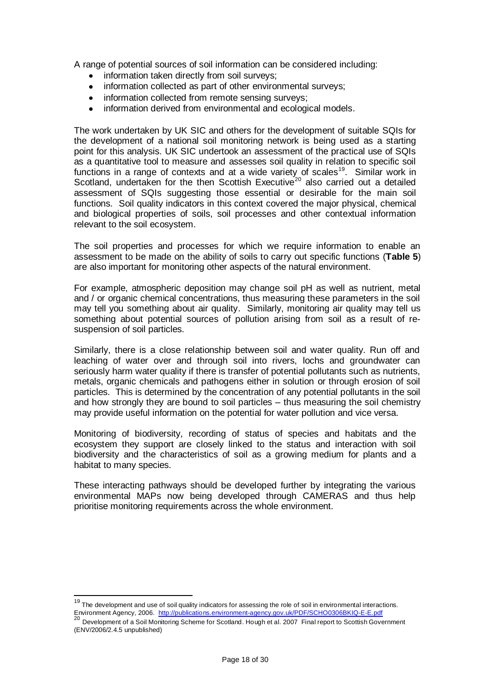A range of potential sources of soil information can be considered including:

- information taken directly from soil surveys;  $\bullet$
- $\bullet$ information collected as part of other environmental surveys;
- information collected from remote sensing surveys;  $\bullet$
- information derived from environmental and ecological models.

The work undertaken by UK SIC and others for the development of suitable SQIs for the development of a national soil monitoring network is being used as a starting point for this analysis. UK SIC undertook an assessment of the practical use of SQIs as a quantitative tool to measure and assesses soil quality in relation to specific soil functions in a range of contexts and at a wide variety of scales<sup>19</sup>. Similar work in Scotland, undertaken for the then Scottish Executive<sup>20</sup> also carried out a detailed assessment of SQIs suggesting those essential or desirable for the main soil functions. Soil quality indicators in this context covered the major physical, chemical and biological properties of soils, soil processes and other contextual information relevant to the soil ecosystem.

The soil properties and processes for which we require information to enable an assessment to be made on the ability of soils to carry out specific functions (**Table 5**) are also important for monitoring other aspects of the natural environment.

For example, atmospheric deposition may change soil pH as well as nutrient, metal and / or organic chemical concentrations, thus measuring these parameters in the soil may tell you something about air quality. Similarly, monitoring air quality may tell us something about potential sources of pollution arising from soil as a result of resuspension of soil particles.

Similarly, there is a close relationship between soil and water quality. Run off and leaching of water over and through soil into rivers, lochs and groundwater can seriously harm water quality if there is transfer of potential pollutants such as nutrients, metals, organic chemicals and pathogens either in solution or through erosion of soil particles. This is determined by the concentration of any potential pollutants in the soil and how strongly they are bound to soil particles – thus measuring the soil chemistry may provide useful information on the potential for water pollution and vice versa.

Monitoring of biodiversity, recording of status of species and habitats and the ecosystem they support are closely linked to the status and interaction with soil biodiversity and the characteristics of soil as a growing medium for plants and a habitat to many species.

These interacting pathways should be developed further by integrating the various environmental MAPs now being developed through CAMERAS and thus help prioritise monitoring requirements across the whole environment.

-

 $19$  The development and use of soil quality indicators for assessing the role of soil in environmental interactions. Environment Agency, 2006.<http://publications.environment-agency.gov.uk/PDF/SCHO0306BKIQ-E-E.pdf>

<sup>20</sup> Development of a Soil Monitoring Scheme for Scotland. Hough et al. 2007 Final report to Scottish Government (ENV/2006/2.4.5 unpublished)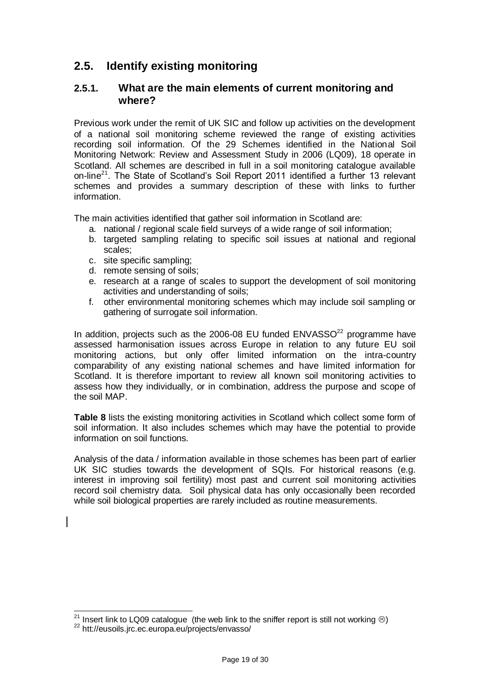# <span id="page-19-0"></span>**2.5. Identify existing monitoring**

## <span id="page-19-1"></span>**2.5.1. What are the main elements of current monitoring and where?**

Previous work under the remit of UK SIC and follow up activities on the development of a national soil monitoring scheme reviewed the range of existing activities recording soil information. Of the 29 Schemes identified in the National Soil Monitoring Network: Review and Assessment Study in 2006 (LQ09), 18 operate in Scotland. All schemes are described in full in a soil monitoring catalogue available on-line<sup>21</sup>. The State of Scotland's Soil Report 2011 identified a further 13 relevant schemes and provides a summary description of these with links to further information.

The main activities identified that gather soil information in Scotland are:

- a. national / regional scale field surveys of a wide range of soil information;
- b. targeted sampling relating to specific soil issues at national and regional scales;
- c. site specific sampling;
- d. remote sensing of soils;
- e. research at a range of scales to support the development of soil monitoring activities and understanding of soils;
- f. other environmental monitoring schemes which may include soil sampling or gathering of surrogate soil information.

In addition, projects such as the 2006-08 EU funded  $ENVASSO<sup>22</sup>$  programme have assessed harmonisation issues across Europe in relation to any future EU soil monitoring actions, but only offer limited information on the intra-country comparability of any existing national schemes and have limited information for Scotland. It is therefore important to review all known soil monitoring activities to assess how they individually, or in combination, address the purpose and scope of the soil MAP.

**Table 8** lists the existing monitoring activities in Scotland which collect some form of soil information. It also includes schemes which may have the potential to provide information on soil functions.

Analysis of the data / information available in those schemes has been part of earlier UK SIC studies towards the development of SQIs. For historical reasons (e.g. interest in improving soil fertility) most past and current soil monitoring activities record soil chemistry data. Soil physical data has only occasionally been recorded while soil biological properties are rarely included as routine measurements.

 $\overline{a}$ 

<sup>&</sup>lt;sup>21</sup> Insert link to LQ09 catalogue (the web link to the sniffer report is still not working  $\circledcirc$ )

<sup>22</sup> htt://eusoils.jrc.ec.europa.eu/projects/envasso/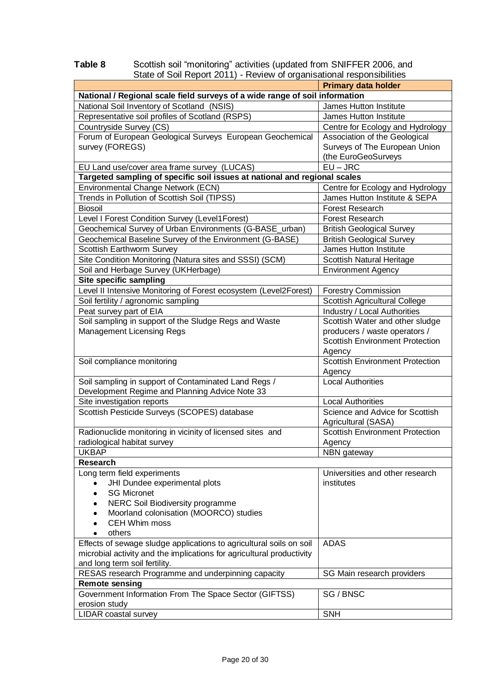**Table 8** Scottish soil "monitoring" activities (updated from SNIFFER 2006, and State of Soil Report 2011) - Review of organisational responsibilities

| National / Regional scale field surveys of a wide range of soil information<br>National Soil Inventory of Scotland (NSIS)<br>James Hutton Institute<br>Representative soil profiles of Scotland (RSPS)<br>James Hutton Institute<br>Countryside Survey (CS)<br>Centre for Ecology and Hydrology<br>Forum of European Geological Surveys European Geochemical<br>Association of the Geological<br>Surveys of The European Union<br>survey (FOREGS)<br>(the EuroGeoSurveys<br>$EU$ – JRC<br>EU Land use/cover area frame survey (LUCAS)<br>Targeted sampling of specific soil issues at national and regional scales<br>Environmental Change Network (ECN)<br>Centre for Ecology and Hydrology<br>Trends in Pollution of Scottish Soil (TIPSS)<br>James Hutton Institute & SEPA<br><b>Biosoil</b><br><b>Forest Research</b><br>Level I Forest Condition Survey (Level1Forest)<br><b>Forest Research</b><br>Geochemical Survey of Urban Environments (G-BASE_urban)<br><b>British Geological Survey</b><br>Geochemical Baseline Survey of the Environment (G-BASE)<br><b>British Geological Survey</b><br>Scottish Earthworm Survey<br>James Hutton Institute<br>Site Condition Monitoring (Natura sites and SSSI) (SCM)<br>Scottish Natural Heritage<br>Soil and Herbage Survey (UKHerbage)<br><b>Environment Agency</b><br>Site specific sampling<br>Level II Intensive Monitoring of Forest ecosystem (Level2Forest)<br><b>Forestry Commission</b><br>Soil fertility / agronomic sampling<br>Scottish Agricultural College<br>Peat survey part of EIA<br>Industry / Local Authorities<br>Soil sampling in support of the Sludge Regs and Waste<br>Scottish Water and other sludge<br><b>Management Licensing Regs</b><br>producers / waste operators /<br><b>Scottish Environment Protection</b><br>Agency<br><b>Scottish Environment Protection</b><br>Soil compliance monitoring<br>Agency<br>Soil sampling in support of Contaminated Land Regs /<br><b>Local Authorities</b><br>Development Regime and Planning Advice Note 33<br>Site investigation reports<br><b>Local Authorities</b><br>Scottish Pesticide Surveys (SCOPES) database<br>Science and Advice for Scottish<br>Agricultural (SASA)<br>Radionuclide monitoring in vicinity of licensed sites and<br><b>Scottish Environment Protection</b><br>radiological habitat survey<br>Agency<br><b>UKBAP</b><br>NBN gateway<br><b>Research</b><br>Long term field experiments<br>Universities and other research<br>JHI Dundee experimental plots<br>institutes<br><b>SG Micronet</b><br>NERC Soil Biodiversity programme<br>Moorland colonisation (MOORCO) studies<br><b>CEH Whim moss</b><br>others<br><b>ADAS</b><br>Effects of sewage sludge applications to agricultural soils on soil<br>microbial activity and the implications for agricultural productivity<br>and long term soil fertility.<br>RESAS research Programme and underpinning capacity<br>SG Main research providers<br><b>Remote sensing</b><br>Government Information From The Space Sector (GIFTSS)<br>SG/BNSC<br>erosion study | <u>Unato or Obit Hopold Zu Hydrochom or organisational rooporiolominos</u> | <b>Primary data holder</b> |
|-------------------------------------------------------------------------------------------------------------------------------------------------------------------------------------------------------------------------------------------------------------------------------------------------------------------------------------------------------------------------------------------------------------------------------------------------------------------------------------------------------------------------------------------------------------------------------------------------------------------------------------------------------------------------------------------------------------------------------------------------------------------------------------------------------------------------------------------------------------------------------------------------------------------------------------------------------------------------------------------------------------------------------------------------------------------------------------------------------------------------------------------------------------------------------------------------------------------------------------------------------------------------------------------------------------------------------------------------------------------------------------------------------------------------------------------------------------------------------------------------------------------------------------------------------------------------------------------------------------------------------------------------------------------------------------------------------------------------------------------------------------------------------------------------------------------------------------------------------------------------------------------------------------------------------------------------------------------------------------------------------------------------------------------------------------------------------------------------------------------------------------------------------------------------------------------------------------------------------------------------------------------------------------------------------------------------------------------------------------------------------------------------------------------------------------------------------------------------------------------------------------------------------------------------------------------------------------------------------------------------------------------------------------------------------------------------------------------------------------------------------------------------------------------------------------------------------------------------------------------------------------------------------------------------------------------------------------------------------------------------------------------------------------------------------------------|----------------------------------------------------------------------------|----------------------------|
|                                                                                                                                                                                                                                                                                                                                                                                                                                                                                                                                                                                                                                                                                                                                                                                                                                                                                                                                                                                                                                                                                                                                                                                                                                                                                                                                                                                                                                                                                                                                                                                                                                                                                                                                                                                                                                                                                                                                                                                                                                                                                                                                                                                                                                                                                                                                                                                                                                                                                                                                                                                                                                                                                                                                                                                                                                                                                                                                                                                                                                                                   |                                                                            |                            |
|                                                                                                                                                                                                                                                                                                                                                                                                                                                                                                                                                                                                                                                                                                                                                                                                                                                                                                                                                                                                                                                                                                                                                                                                                                                                                                                                                                                                                                                                                                                                                                                                                                                                                                                                                                                                                                                                                                                                                                                                                                                                                                                                                                                                                                                                                                                                                                                                                                                                                                                                                                                                                                                                                                                                                                                                                                                                                                                                                                                                                                                                   |                                                                            |                            |
|                                                                                                                                                                                                                                                                                                                                                                                                                                                                                                                                                                                                                                                                                                                                                                                                                                                                                                                                                                                                                                                                                                                                                                                                                                                                                                                                                                                                                                                                                                                                                                                                                                                                                                                                                                                                                                                                                                                                                                                                                                                                                                                                                                                                                                                                                                                                                                                                                                                                                                                                                                                                                                                                                                                                                                                                                                                                                                                                                                                                                                                                   |                                                                            |                            |
|                                                                                                                                                                                                                                                                                                                                                                                                                                                                                                                                                                                                                                                                                                                                                                                                                                                                                                                                                                                                                                                                                                                                                                                                                                                                                                                                                                                                                                                                                                                                                                                                                                                                                                                                                                                                                                                                                                                                                                                                                                                                                                                                                                                                                                                                                                                                                                                                                                                                                                                                                                                                                                                                                                                                                                                                                                                                                                                                                                                                                                                                   |                                                                            |                            |
|                                                                                                                                                                                                                                                                                                                                                                                                                                                                                                                                                                                                                                                                                                                                                                                                                                                                                                                                                                                                                                                                                                                                                                                                                                                                                                                                                                                                                                                                                                                                                                                                                                                                                                                                                                                                                                                                                                                                                                                                                                                                                                                                                                                                                                                                                                                                                                                                                                                                                                                                                                                                                                                                                                                                                                                                                                                                                                                                                                                                                                                                   |                                                                            |                            |
|                                                                                                                                                                                                                                                                                                                                                                                                                                                                                                                                                                                                                                                                                                                                                                                                                                                                                                                                                                                                                                                                                                                                                                                                                                                                                                                                                                                                                                                                                                                                                                                                                                                                                                                                                                                                                                                                                                                                                                                                                                                                                                                                                                                                                                                                                                                                                                                                                                                                                                                                                                                                                                                                                                                                                                                                                                                                                                                                                                                                                                                                   |                                                                            |                            |
|                                                                                                                                                                                                                                                                                                                                                                                                                                                                                                                                                                                                                                                                                                                                                                                                                                                                                                                                                                                                                                                                                                                                                                                                                                                                                                                                                                                                                                                                                                                                                                                                                                                                                                                                                                                                                                                                                                                                                                                                                                                                                                                                                                                                                                                                                                                                                                                                                                                                                                                                                                                                                                                                                                                                                                                                                                                                                                                                                                                                                                                                   |                                                                            |                            |
|                                                                                                                                                                                                                                                                                                                                                                                                                                                                                                                                                                                                                                                                                                                                                                                                                                                                                                                                                                                                                                                                                                                                                                                                                                                                                                                                                                                                                                                                                                                                                                                                                                                                                                                                                                                                                                                                                                                                                                                                                                                                                                                                                                                                                                                                                                                                                                                                                                                                                                                                                                                                                                                                                                                                                                                                                                                                                                                                                                                                                                                                   |                                                                            |                            |
|                                                                                                                                                                                                                                                                                                                                                                                                                                                                                                                                                                                                                                                                                                                                                                                                                                                                                                                                                                                                                                                                                                                                                                                                                                                                                                                                                                                                                                                                                                                                                                                                                                                                                                                                                                                                                                                                                                                                                                                                                                                                                                                                                                                                                                                                                                                                                                                                                                                                                                                                                                                                                                                                                                                                                                                                                                                                                                                                                                                                                                                                   |                                                                            |                            |
|                                                                                                                                                                                                                                                                                                                                                                                                                                                                                                                                                                                                                                                                                                                                                                                                                                                                                                                                                                                                                                                                                                                                                                                                                                                                                                                                                                                                                                                                                                                                                                                                                                                                                                                                                                                                                                                                                                                                                                                                                                                                                                                                                                                                                                                                                                                                                                                                                                                                                                                                                                                                                                                                                                                                                                                                                                                                                                                                                                                                                                                                   |                                                                            |                            |
|                                                                                                                                                                                                                                                                                                                                                                                                                                                                                                                                                                                                                                                                                                                                                                                                                                                                                                                                                                                                                                                                                                                                                                                                                                                                                                                                                                                                                                                                                                                                                                                                                                                                                                                                                                                                                                                                                                                                                                                                                                                                                                                                                                                                                                                                                                                                                                                                                                                                                                                                                                                                                                                                                                                                                                                                                                                                                                                                                                                                                                                                   |                                                                            |                            |
|                                                                                                                                                                                                                                                                                                                                                                                                                                                                                                                                                                                                                                                                                                                                                                                                                                                                                                                                                                                                                                                                                                                                                                                                                                                                                                                                                                                                                                                                                                                                                                                                                                                                                                                                                                                                                                                                                                                                                                                                                                                                                                                                                                                                                                                                                                                                                                                                                                                                                                                                                                                                                                                                                                                                                                                                                                                                                                                                                                                                                                                                   |                                                                            |                            |
|                                                                                                                                                                                                                                                                                                                                                                                                                                                                                                                                                                                                                                                                                                                                                                                                                                                                                                                                                                                                                                                                                                                                                                                                                                                                                                                                                                                                                                                                                                                                                                                                                                                                                                                                                                                                                                                                                                                                                                                                                                                                                                                                                                                                                                                                                                                                                                                                                                                                                                                                                                                                                                                                                                                                                                                                                                                                                                                                                                                                                                                                   |                                                                            |                            |
|                                                                                                                                                                                                                                                                                                                                                                                                                                                                                                                                                                                                                                                                                                                                                                                                                                                                                                                                                                                                                                                                                                                                                                                                                                                                                                                                                                                                                                                                                                                                                                                                                                                                                                                                                                                                                                                                                                                                                                                                                                                                                                                                                                                                                                                                                                                                                                                                                                                                                                                                                                                                                                                                                                                                                                                                                                                                                                                                                                                                                                                                   |                                                                            |                            |
|                                                                                                                                                                                                                                                                                                                                                                                                                                                                                                                                                                                                                                                                                                                                                                                                                                                                                                                                                                                                                                                                                                                                                                                                                                                                                                                                                                                                                                                                                                                                                                                                                                                                                                                                                                                                                                                                                                                                                                                                                                                                                                                                                                                                                                                                                                                                                                                                                                                                                                                                                                                                                                                                                                                                                                                                                                                                                                                                                                                                                                                                   |                                                                            |                            |
|                                                                                                                                                                                                                                                                                                                                                                                                                                                                                                                                                                                                                                                                                                                                                                                                                                                                                                                                                                                                                                                                                                                                                                                                                                                                                                                                                                                                                                                                                                                                                                                                                                                                                                                                                                                                                                                                                                                                                                                                                                                                                                                                                                                                                                                                                                                                                                                                                                                                                                                                                                                                                                                                                                                                                                                                                                                                                                                                                                                                                                                                   |                                                                            |                            |
|                                                                                                                                                                                                                                                                                                                                                                                                                                                                                                                                                                                                                                                                                                                                                                                                                                                                                                                                                                                                                                                                                                                                                                                                                                                                                                                                                                                                                                                                                                                                                                                                                                                                                                                                                                                                                                                                                                                                                                                                                                                                                                                                                                                                                                                                                                                                                                                                                                                                                                                                                                                                                                                                                                                                                                                                                                                                                                                                                                                                                                                                   |                                                                            |                            |
|                                                                                                                                                                                                                                                                                                                                                                                                                                                                                                                                                                                                                                                                                                                                                                                                                                                                                                                                                                                                                                                                                                                                                                                                                                                                                                                                                                                                                                                                                                                                                                                                                                                                                                                                                                                                                                                                                                                                                                                                                                                                                                                                                                                                                                                                                                                                                                                                                                                                                                                                                                                                                                                                                                                                                                                                                                                                                                                                                                                                                                                                   |                                                                            |                            |
|                                                                                                                                                                                                                                                                                                                                                                                                                                                                                                                                                                                                                                                                                                                                                                                                                                                                                                                                                                                                                                                                                                                                                                                                                                                                                                                                                                                                                                                                                                                                                                                                                                                                                                                                                                                                                                                                                                                                                                                                                                                                                                                                                                                                                                                                                                                                                                                                                                                                                                                                                                                                                                                                                                                                                                                                                                                                                                                                                                                                                                                                   |                                                                            |                            |
|                                                                                                                                                                                                                                                                                                                                                                                                                                                                                                                                                                                                                                                                                                                                                                                                                                                                                                                                                                                                                                                                                                                                                                                                                                                                                                                                                                                                                                                                                                                                                                                                                                                                                                                                                                                                                                                                                                                                                                                                                                                                                                                                                                                                                                                                                                                                                                                                                                                                                                                                                                                                                                                                                                                                                                                                                                                                                                                                                                                                                                                                   |                                                                            |                            |
|                                                                                                                                                                                                                                                                                                                                                                                                                                                                                                                                                                                                                                                                                                                                                                                                                                                                                                                                                                                                                                                                                                                                                                                                                                                                                                                                                                                                                                                                                                                                                                                                                                                                                                                                                                                                                                                                                                                                                                                                                                                                                                                                                                                                                                                                                                                                                                                                                                                                                                                                                                                                                                                                                                                                                                                                                                                                                                                                                                                                                                                                   |                                                                            |                            |
|                                                                                                                                                                                                                                                                                                                                                                                                                                                                                                                                                                                                                                                                                                                                                                                                                                                                                                                                                                                                                                                                                                                                                                                                                                                                                                                                                                                                                                                                                                                                                                                                                                                                                                                                                                                                                                                                                                                                                                                                                                                                                                                                                                                                                                                                                                                                                                                                                                                                                                                                                                                                                                                                                                                                                                                                                                                                                                                                                                                                                                                                   |                                                                            |                            |
|                                                                                                                                                                                                                                                                                                                                                                                                                                                                                                                                                                                                                                                                                                                                                                                                                                                                                                                                                                                                                                                                                                                                                                                                                                                                                                                                                                                                                                                                                                                                                                                                                                                                                                                                                                                                                                                                                                                                                                                                                                                                                                                                                                                                                                                                                                                                                                                                                                                                                                                                                                                                                                                                                                                                                                                                                                                                                                                                                                                                                                                                   |                                                                            |                            |
|                                                                                                                                                                                                                                                                                                                                                                                                                                                                                                                                                                                                                                                                                                                                                                                                                                                                                                                                                                                                                                                                                                                                                                                                                                                                                                                                                                                                                                                                                                                                                                                                                                                                                                                                                                                                                                                                                                                                                                                                                                                                                                                                                                                                                                                                                                                                                                                                                                                                                                                                                                                                                                                                                                                                                                                                                                                                                                                                                                                                                                                                   |                                                                            |                            |
|                                                                                                                                                                                                                                                                                                                                                                                                                                                                                                                                                                                                                                                                                                                                                                                                                                                                                                                                                                                                                                                                                                                                                                                                                                                                                                                                                                                                                                                                                                                                                                                                                                                                                                                                                                                                                                                                                                                                                                                                                                                                                                                                                                                                                                                                                                                                                                                                                                                                                                                                                                                                                                                                                                                                                                                                                                                                                                                                                                                                                                                                   |                                                                            |                            |
|                                                                                                                                                                                                                                                                                                                                                                                                                                                                                                                                                                                                                                                                                                                                                                                                                                                                                                                                                                                                                                                                                                                                                                                                                                                                                                                                                                                                                                                                                                                                                                                                                                                                                                                                                                                                                                                                                                                                                                                                                                                                                                                                                                                                                                                                                                                                                                                                                                                                                                                                                                                                                                                                                                                                                                                                                                                                                                                                                                                                                                                                   |                                                                            |                            |
|                                                                                                                                                                                                                                                                                                                                                                                                                                                                                                                                                                                                                                                                                                                                                                                                                                                                                                                                                                                                                                                                                                                                                                                                                                                                                                                                                                                                                                                                                                                                                                                                                                                                                                                                                                                                                                                                                                                                                                                                                                                                                                                                                                                                                                                                                                                                                                                                                                                                                                                                                                                                                                                                                                                                                                                                                                                                                                                                                                                                                                                                   |                                                                            |                            |
|                                                                                                                                                                                                                                                                                                                                                                                                                                                                                                                                                                                                                                                                                                                                                                                                                                                                                                                                                                                                                                                                                                                                                                                                                                                                                                                                                                                                                                                                                                                                                                                                                                                                                                                                                                                                                                                                                                                                                                                                                                                                                                                                                                                                                                                                                                                                                                                                                                                                                                                                                                                                                                                                                                                                                                                                                                                                                                                                                                                                                                                                   |                                                                            |                            |
|                                                                                                                                                                                                                                                                                                                                                                                                                                                                                                                                                                                                                                                                                                                                                                                                                                                                                                                                                                                                                                                                                                                                                                                                                                                                                                                                                                                                                                                                                                                                                                                                                                                                                                                                                                                                                                                                                                                                                                                                                                                                                                                                                                                                                                                                                                                                                                                                                                                                                                                                                                                                                                                                                                                                                                                                                                                                                                                                                                                                                                                                   |                                                                            |                            |
|                                                                                                                                                                                                                                                                                                                                                                                                                                                                                                                                                                                                                                                                                                                                                                                                                                                                                                                                                                                                                                                                                                                                                                                                                                                                                                                                                                                                                                                                                                                                                                                                                                                                                                                                                                                                                                                                                                                                                                                                                                                                                                                                                                                                                                                                                                                                                                                                                                                                                                                                                                                                                                                                                                                                                                                                                                                                                                                                                                                                                                                                   |                                                                            |                            |
|                                                                                                                                                                                                                                                                                                                                                                                                                                                                                                                                                                                                                                                                                                                                                                                                                                                                                                                                                                                                                                                                                                                                                                                                                                                                                                                                                                                                                                                                                                                                                                                                                                                                                                                                                                                                                                                                                                                                                                                                                                                                                                                                                                                                                                                                                                                                                                                                                                                                                                                                                                                                                                                                                                                                                                                                                                                                                                                                                                                                                                                                   |                                                                            |                            |
|                                                                                                                                                                                                                                                                                                                                                                                                                                                                                                                                                                                                                                                                                                                                                                                                                                                                                                                                                                                                                                                                                                                                                                                                                                                                                                                                                                                                                                                                                                                                                                                                                                                                                                                                                                                                                                                                                                                                                                                                                                                                                                                                                                                                                                                                                                                                                                                                                                                                                                                                                                                                                                                                                                                                                                                                                                                                                                                                                                                                                                                                   |                                                                            |                            |
|                                                                                                                                                                                                                                                                                                                                                                                                                                                                                                                                                                                                                                                                                                                                                                                                                                                                                                                                                                                                                                                                                                                                                                                                                                                                                                                                                                                                                                                                                                                                                                                                                                                                                                                                                                                                                                                                                                                                                                                                                                                                                                                                                                                                                                                                                                                                                                                                                                                                                                                                                                                                                                                                                                                                                                                                                                                                                                                                                                                                                                                                   |                                                                            |                            |
|                                                                                                                                                                                                                                                                                                                                                                                                                                                                                                                                                                                                                                                                                                                                                                                                                                                                                                                                                                                                                                                                                                                                                                                                                                                                                                                                                                                                                                                                                                                                                                                                                                                                                                                                                                                                                                                                                                                                                                                                                                                                                                                                                                                                                                                                                                                                                                                                                                                                                                                                                                                                                                                                                                                                                                                                                                                                                                                                                                                                                                                                   |                                                                            |                            |
|                                                                                                                                                                                                                                                                                                                                                                                                                                                                                                                                                                                                                                                                                                                                                                                                                                                                                                                                                                                                                                                                                                                                                                                                                                                                                                                                                                                                                                                                                                                                                                                                                                                                                                                                                                                                                                                                                                                                                                                                                                                                                                                                                                                                                                                                                                                                                                                                                                                                                                                                                                                                                                                                                                                                                                                                                                                                                                                                                                                                                                                                   |                                                                            |                            |
|                                                                                                                                                                                                                                                                                                                                                                                                                                                                                                                                                                                                                                                                                                                                                                                                                                                                                                                                                                                                                                                                                                                                                                                                                                                                                                                                                                                                                                                                                                                                                                                                                                                                                                                                                                                                                                                                                                                                                                                                                                                                                                                                                                                                                                                                                                                                                                                                                                                                                                                                                                                                                                                                                                                                                                                                                                                                                                                                                                                                                                                                   |                                                                            |                            |
|                                                                                                                                                                                                                                                                                                                                                                                                                                                                                                                                                                                                                                                                                                                                                                                                                                                                                                                                                                                                                                                                                                                                                                                                                                                                                                                                                                                                                                                                                                                                                                                                                                                                                                                                                                                                                                                                                                                                                                                                                                                                                                                                                                                                                                                                                                                                                                                                                                                                                                                                                                                                                                                                                                                                                                                                                                                                                                                                                                                                                                                                   |                                                                            |                            |
|                                                                                                                                                                                                                                                                                                                                                                                                                                                                                                                                                                                                                                                                                                                                                                                                                                                                                                                                                                                                                                                                                                                                                                                                                                                                                                                                                                                                                                                                                                                                                                                                                                                                                                                                                                                                                                                                                                                                                                                                                                                                                                                                                                                                                                                                                                                                                                                                                                                                                                                                                                                                                                                                                                                                                                                                                                                                                                                                                                                                                                                                   |                                                                            |                            |
|                                                                                                                                                                                                                                                                                                                                                                                                                                                                                                                                                                                                                                                                                                                                                                                                                                                                                                                                                                                                                                                                                                                                                                                                                                                                                                                                                                                                                                                                                                                                                                                                                                                                                                                                                                                                                                                                                                                                                                                                                                                                                                                                                                                                                                                                                                                                                                                                                                                                                                                                                                                                                                                                                                                                                                                                                                                                                                                                                                                                                                                                   |                                                                            |                            |
|                                                                                                                                                                                                                                                                                                                                                                                                                                                                                                                                                                                                                                                                                                                                                                                                                                                                                                                                                                                                                                                                                                                                                                                                                                                                                                                                                                                                                                                                                                                                                                                                                                                                                                                                                                                                                                                                                                                                                                                                                                                                                                                                                                                                                                                                                                                                                                                                                                                                                                                                                                                                                                                                                                                                                                                                                                                                                                                                                                                                                                                                   |                                                                            |                            |
|                                                                                                                                                                                                                                                                                                                                                                                                                                                                                                                                                                                                                                                                                                                                                                                                                                                                                                                                                                                                                                                                                                                                                                                                                                                                                                                                                                                                                                                                                                                                                                                                                                                                                                                                                                                                                                                                                                                                                                                                                                                                                                                                                                                                                                                                                                                                                                                                                                                                                                                                                                                                                                                                                                                                                                                                                                                                                                                                                                                                                                                                   |                                                                            |                            |
|                                                                                                                                                                                                                                                                                                                                                                                                                                                                                                                                                                                                                                                                                                                                                                                                                                                                                                                                                                                                                                                                                                                                                                                                                                                                                                                                                                                                                                                                                                                                                                                                                                                                                                                                                                                                                                                                                                                                                                                                                                                                                                                                                                                                                                                                                                                                                                                                                                                                                                                                                                                                                                                                                                                                                                                                                                                                                                                                                                                                                                                                   |                                                                            |                            |
|                                                                                                                                                                                                                                                                                                                                                                                                                                                                                                                                                                                                                                                                                                                                                                                                                                                                                                                                                                                                                                                                                                                                                                                                                                                                                                                                                                                                                                                                                                                                                                                                                                                                                                                                                                                                                                                                                                                                                                                                                                                                                                                                                                                                                                                                                                                                                                                                                                                                                                                                                                                                                                                                                                                                                                                                                                                                                                                                                                                                                                                                   |                                                                            |                            |
|                                                                                                                                                                                                                                                                                                                                                                                                                                                                                                                                                                                                                                                                                                                                                                                                                                                                                                                                                                                                                                                                                                                                                                                                                                                                                                                                                                                                                                                                                                                                                                                                                                                                                                                                                                                                                                                                                                                                                                                                                                                                                                                                                                                                                                                                                                                                                                                                                                                                                                                                                                                                                                                                                                                                                                                                                                                                                                                                                                                                                                                                   |                                                                            |                            |
|                                                                                                                                                                                                                                                                                                                                                                                                                                                                                                                                                                                                                                                                                                                                                                                                                                                                                                                                                                                                                                                                                                                                                                                                                                                                                                                                                                                                                                                                                                                                                                                                                                                                                                                                                                                                                                                                                                                                                                                                                                                                                                                                                                                                                                                                                                                                                                                                                                                                                                                                                                                                                                                                                                                                                                                                                                                                                                                                                                                                                                                                   |                                                                            |                            |
|                                                                                                                                                                                                                                                                                                                                                                                                                                                                                                                                                                                                                                                                                                                                                                                                                                                                                                                                                                                                                                                                                                                                                                                                                                                                                                                                                                                                                                                                                                                                                                                                                                                                                                                                                                                                                                                                                                                                                                                                                                                                                                                                                                                                                                                                                                                                                                                                                                                                                                                                                                                                                                                                                                                                                                                                                                                                                                                                                                                                                                                                   |                                                                            |                            |
|                                                                                                                                                                                                                                                                                                                                                                                                                                                                                                                                                                                                                                                                                                                                                                                                                                                                                                                                                                                                                                                                                                                                                                                                                                                                                                                                                                                                                                                                                                                                                                                                                                                                                                                                                                                                                                                                                                                                                                                                                                                                                                                                                                                                                                                                                                                                                                                                                                                                                                                                                                                                                                                                                                                                                                                                                                                                                                                                                                                                                                                                   |                                                                            |                            |
|                                                                                                                                                                                                                                                                                                                                                                                                                                                                                                                                                                                                                                                                                                                                                                                                                                                                                                                                                                                                                                                                                                                                                                                                                                                                                                                                                                                                                                                                                                                                                                                                                                                                                                                                                                                                                                                                                                                                                                                                                                                                                                                                                                                                                                                                                                                                                                                                                                                                                                                                                                                                                                                                                                                                                                                                                                                                                                                                                                                                                                                                   |                                                                            |                            |
|                                                                                                                                                                                                                                                                                                                                                                                                                                                                                                                                                                                                                                                                                                                                                                                                                                                                                                                                                                                                                                                                                                                                                                                                                                                                                                                                                                                                                                                                                                                                                                                                                                                                                                                                                                                                                                                                                                                                                                                                                                                                                                                                                                                                                                                                                                                                                                                                                                                                                                                                                                                                                                                                                                                                                                                                                                                                                                                                                                                                                                                                   |                                                                            |                            |
|                                                                                                                                                                                                                                                                                                                                                                                                                                                                                                                                                                                                                                                                                                                                                                                                                                                                                                                                                                                                                                                                                                                                                                                                                                                                                                                                                                                                                                                                                                                                                                                                                                                                                                                                                                                                                                                                                                                                                                                                                                                                                                                                                                                                                                                                                                                                                                                                                                                                                                                                                                                                                                                                                                                                                                                                                                                                                                                                                                                                                                                                   |                                                                            |                            |
|                                                                                                                                                                                                                                                                                                                                                                                                                                                                                                                                                                                                                                                                                                                                                                                                                                                                                                                                                                                                                                                                                                                                                                                                                                                                                                                                                                                                                                                                                                                                                                                                                                                                                                                                                                                                                                                                                                                                                                                                                                                                                                                                                                                                                                                                                                                                                                                                                                                                                                                                                                                                                                                                                                                                                                                                                                                                                                                                                                                                                                                                   |                                                                            |                            |
|                                                                                                                                                                                                                                                                                                                                                                                                                                                                                                                                                                                                                                                                                                                                                                                                                                                                                                                                                                                                                                                                                                                                                                                                                                                                                                                                                                                                                                                                                                                                                                                                                                                                                                                                                                                                                                                                                                                                                                                                                                                                                                                                                                                                                                                                                                                                                                                                                                                                                                                                                                                                                                                                                                                                                                                                                                                                                                                                                                                                                                                                   |                                                                            |                            |
|                                                                                                                                                                                                                                                                                                                                                                                                                                                                                                                                                                                                                                                                                                                                                                                                                                                                                                                                                                                                                                                                                                                                                                                                                                                                                                                                                                                                                                                                                                                                                                                                                                                                                                                                                                                                                                                                                                                                                                                                                                                                                                                                                                                                                                                                                                                                                                                                                                                                                                                                                                                                                                                                                                                                                                                                                                                                                                                                                                                                                                                                   | LIDAR coastal survey                                                       | <b>SNH</b>                 |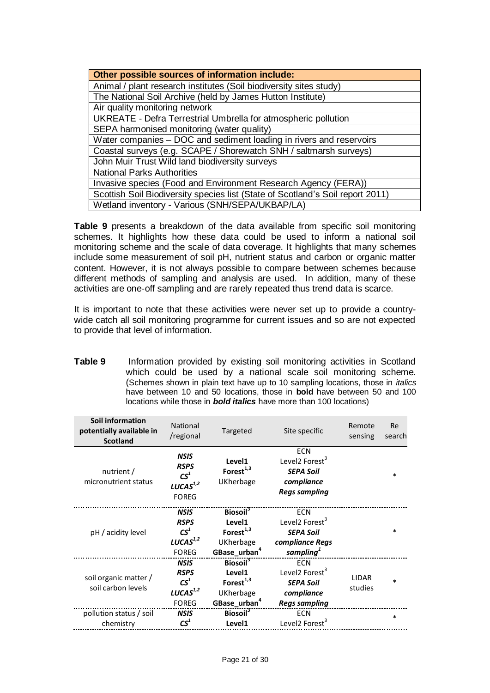| Other possible sources of information include:                                 |
|--------------------------------------------------------------------------------|
| Animal / plant research institutes (Soil biodiversity sites study)             |
| The National Soil Archive (held by James Hutton Institute)                     |
| Air quality monitoring network                                                 |
| UKREATE - Defra Terrestrial Umbrella for atmospheric pollution                 |
| SEPA harmonised monitoring (water quality)                                     |
| Water companies – DOC and sediment loading in rivers and reservoirs            |
| Coastal surveys (e.g. SCAPE / Shorewatch SNH / saltmarsh surveys)              |
| John Muir Trust Wild land biodiversity surveys                                 |
| <b>National Parks Authorities</b>                                              |
| Invasive species (Food and Environment Research Agency (FERA))                 |
| Scottish Soil Biodiversity species list (State of Scotland's Soil report 2011) |
| Wetland inventory - Various (SNH/SEPA/UKBAP/LA)                                |

**Table 9** presents a breakdown of the data available from specific soil monitoring schemes. It highlights how these data could be used to inform a national soil monitoring scheme and the scale of data coverage. It highlights that many schemes include some measurement of soil pH, nutrient status and carbon or organic matter content. However, it is not always possible to compare between schemes because different methods of sampling and analysis are used. In addition, many of these activities are one-off sampling and are rarely repeated thus trend data is scarce.

It is important to note that these activities were never set up to provide a countrywide catch all soil monitoring programme for current issues and so are not expected to provide that level of information.

**Table 9** Information provided by existing soil monitoring activities in Scotland which could be used by a national scale soil monitoring scheme. (Schemes shown in plain text have up to 10 sampling locations, those in *italics* have between 10 and 50 locations, those in **bold** have between 50 and 100 locations while those in *bold italics* have more than 100 locations)

| Soil information<br>potentially available in<br><b>Scotland</b> | National<br>/regional                                                          | Targeted                                                                                          | Site specific                                                                                                  | Remote<br>sensing       | Re<br>search |
|-----------------------------------------------------------------|--------------------------------------------------------------------------------|---------------------------------------------------------------------------------------------------|----------------------------------------------------------------------------------------------------------------|-------------------------|--------------|
| nutrient /<br>micronutrient status                              | <b>NSIS</b><br><b>RSPS</b><br>$CS^1$<br>$LUCAS^{1,2}$<br><b>FOREG</b>          | Level1<br>Forest <sup>1,3</sup><br>UKherbage                                                      | <b>ECN</b><br>Level <sub>2</sub> Forest <sup>3</sup><br><b>SEPA Soil</b><br>compliance<br><b>Regs sampling</b> |                         | $\ast$       |
| pH / acidity level                                              | <b>NSIS</b><br><b>RSPS</b><br>$\mathbf{CS}^1$<br>$LUCAS^{1,2}$<br><b>FOREG</b> | <b>Biosoil</b> <sup>3</sup><br>Level1<br>Forest $^{1,3}$<br>UKherbage<br>GBase_urban <sup>4</sup> | <b>ECN</b><br>Level2 Forest <sup>3</sup><br><b>SEPA Soil</b><br>compliance Regs<br>sampling $^1$               |                         | $\ast$       |
| soil organic matter /<br>soil carbon levels                     | <b>NSIS</b><br><b>RSPS</b><br>$CS^1$<br>LUCAS <sup>1,2</sup><br><b>FOREG</b>   | Biosoil <sup>3</sup><br>Level1<br>Forest $^{1,3}$<br>UKherbage<br>GBase_urban <sup>4</sup>        | <b>ECN</b><br>Level2 Forest <sup>3</sup><br><b>SEPA Soil</b><br>compliance<br><b>Regs sampling</b>             | <b>LIDAR</b><br>studies | $\ast$       |
| pollution status / soil<br>chemistry                            | <b>NSIS</b><br>$\mathbf{C}\mathbf{S}^1$                                        | Biosoil <sup>3</sup><br>Level1                                                                    | <b>ECN</b><br>Level2 Forest <sup>3</sup>                                                                       |                         | $\ast$       |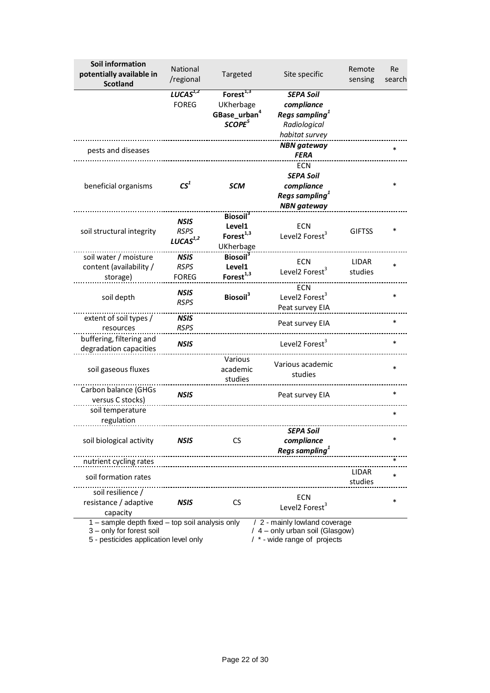| Soil information<br>potentially available in<br><b>Scotland</b>                                                                                 | <b>National</b><br>/regional | Targeted                    | Site specific                            | Remote<br>sensing | Re<br>search |  |
|-------------------------------------------------------------------------------------------------------------------------------------------------|------------------------------|-----------------------------|------------------------------------------|-------------------|--------------|--|
|                                                                                                                                                 | $LUCAS^{1,2}$                | Forest $^{1,3}$             | <b>SEPA Soil</b>                         |                   |              |  |
|                                                                                                                                                 | <b>FOREG</b>                 | UKherbage                   | compliance                               |                   |              |  |
|                                                                                                                                                 |                              | GBase_urban <sup>4</sup>    | Regs sampling <sup>1</sup>               |                   |              |  |
|                                                                                                                                                 |                              | SCOPE <sup>5</sup>          | Radiological                             |                   |              |  |
|                                                                                                                                                 |                              |                             | habitat survey                           |                   |              |  |
| pests and diseases                                                                                                                              |                              |                             | <b>NBN</b> gateway                       |                   |              |  |
|                                                                                                                                                 |                              |                             | <b>FERA</b>                              |                   |              |  |
|                                                                                                                                                 |                              |                             | <b>ECN</b>                               |                   |              |  |
|                                                                                                                                                 | CS <sup>1</sup>              |                             | <b>SEPA Soil</b>                         |                   | $\ast$       |  |
| beneficial organisms                                                                                                                            |                              | <b>SCM</b>                  | compliance                               |                   |              |  |
|                                                                                                                                                 |                              |                             | Regs sampling $^1$<br><b>NBN</b> gateway |                   |              |  |
|                                                                                                                                                 |                              | <b>Biosoil</b> <sup>3</sup> |                                          |                   |              |  |
|                                                                                                                                                 | <b>NSIS</b>                  | Level1                      | <b>ECN</b>                               |                   |              |  |
| soil structural integrity                                                                                                                       | <b>RSPS</b>                  | Forest <sup>1,3</sup>       | Level2 Forest <sup>3</sup>               | <b>GIFTSS</b>     | $\ast$       |  |
|                                                                                                                                                 | LUCAS <sup>1,2</sup>         | UKherbage                   |                                          |                   |              |  |
| soil water / moisture                                                                                                                           | <b>NSIS</b>                  | Biosoil <sup>3</sup>        |                                          |                   |              |  |
| content (availability /                                                                                                                         | <b>RSPS</b>                  | Level1                      | <b>ECN</b><br>Level2 Forest <sup>3</sup> | <b>LIDAR</b>      | $\ast$       |  |
| storage)                                                                                                                                        | <b>FOREG</b>                 | Forest <sup>1,3</sup>       |                                          | studies           |              |  |
|                                                                                                                                                 | <b>NSIS</b>                  |                             | <b>ECN</b>                               |                   |              |  |
| soil depth                                                                                                                                      | <b>RSPS</b>                  | Biosoil <sup>3</sup>        | Level2 Forest <sup>3</sup>               |                   | *            |  |
|                                                                                                                                                 |                              |                             | Peat survey EIA                          |                   |              |  |
| extent of soil types /                                                                                                                          | <b>NSIS</b>                  |                             | Peat survey EIA                          |                   | *            |  |
| resources                                                                                                                                       | <b>RSPS</b>                  |                             |                                          |                   |              |  |
| buffering, filtering and                                                                                                                        | <b>NSIS</b>                  |                             | Level2 Forest <sup>3</sup>               |                   | *            |  |
| degradation capacities                                                                                                                          |                              | Various                     |                                          |                   |              |  |
| soil gaseous fluxes                                                                                                                             |                              | academic                    | Various academic                         |                   | *            |  |
|                                                                                                                                                 |                              | studies                     | studies                                  |                   |              |  |
| Carbon balance (GHGs                                                                                                                            |                              |                             |                                          |                   |              |  |
| versus C stocks)                                                                                                                                | <b>NSIS</b>                  |                             | Peat survey EIA                          |                   | *            |  |
| soil temperature                                                                                                                                |                              |                             |                                          |                   | *            |  |
| regulation                                                                                                                                      |                              |                             |                                          |                   |              |  |
|                                                                                                                                                 |                              |                             | SEPA SOII                                |                   |              |  |
| soil biological activity                                                                                                                        | <b>NSIS</b>                  | CS                          | compliance                               |                   | $\ast$       |  |
|                                                                                                                                                 |                              |                             | Regs samplina <sup>1</sup>               |                   |              |  |
| nutrient cycling rates                                                                                                                          |                              |                             |                                          |                   |              |  |
| soil formation rates                                                                                                                            |                              |                             |                                          | LIDAR             | $\ast$       |  |
|                                                                                                                                                 |                              |                             |                                          | studies           |              |  |
| soil resilience /                                                                                                                               |                              |                             | ECN                                      |                   | $\ast$       |  |
| resistance / adaptive                                                                                                                           | <b>NSIS</b>                  | <b>CS</b>                   | Level2 Forest <sup>3</sup>               |                   |              |  |
| capacity                                                                                                                                        |                              |                             |                                          |                   |              |  |
| 1 - sample depth fixed - top soil analysis only<br>/ 2 - mainly lowland coverage<br>3 - only for forest soil<br>/ 4 - only urban soil (Glasgow) |                              |                             |                                          |                   |              |  |
| 5 - pesticides application level only                                                                                                           |                              |                             | / * - wide range of projects             |                   |              |  |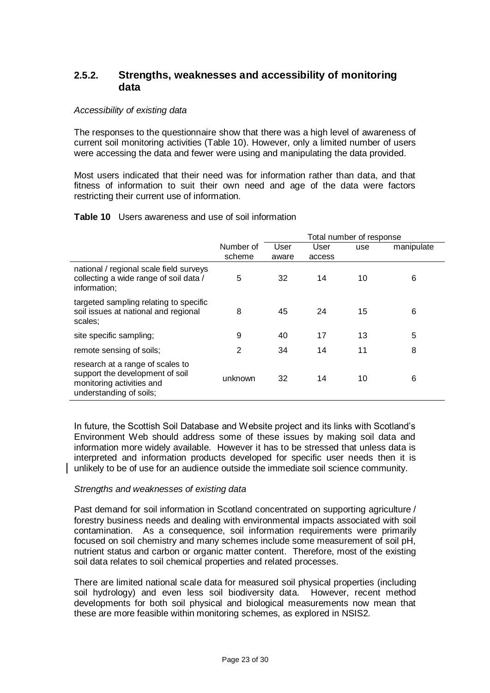## <span id="page-23-0"></span>**2.5.2. Strengths, weaknesses and accessibility of monitoring data**

### *Accessibility of existing data*

The responses to the questionnaire show that there was a high level of awareness of current soil monitoring activities (Table 10). However, only a limited number of users were accessing the data and fewer were using and manipulating the data provided.

Most users indicated that their need was for information rather than data, and that fitness of information to suit their own need and age of the data were factors restricting their current use of information.

#### **Table 10** Users awareness and use of soil information

|                                                                                                                             |                | Total number of response |        |     |            |
|-----------------------------------------------------------------------------------------------------------------------------|----------------|--------------------------|--------|-----|------------|
|                                                                                                                             | Number of      | User                     | User   | use | manipulate |
|                                                                                                                             | scheme         | aware                    | access |     |            |
| national / regional scale field surveys<br>collecting a wide range of soil data /<br>information;                           | 5              | 32                       | 14     | 10  | 6          |
| targeted sampling relating to specific<br>soil issues at national and regional<br>scales;                                   | 8              | 45                       | 24     | 15  | 6          |
| site specific sampling;                                                                                                     | 9              | 40                       | 17     | 13  | 5          |
| remote sensing of soils;                                                                                                    | $\overline{2}$ | 34                       | 14     | 11  | 8          |
| research at a range of scales to<br>support the development of soil<br>monitoring activities and<br>understanding of soils; | unknown        | 32                       | 14     | 10  | 6          |

In future, the Scottish Soil Database and Website project and its links with Scotland's Environment Web should address some of these issues by making soil data and information more widely available. However it has to be stressed that unless data is interpreted and information products developed for specific user needs then it is unlikely to be of use for an audience outside the immediate soil science community.

### *Strengths and weaknesses of existing data*

Past demand for soil information in Scotland concentrated on supporting agriculture / forestry business needs and dealing with environmental impacts associated with soil contamination. As a consequence, soil information requirements were primarily focused on soil chemistry and many schemes include some measurement of soil pH, nutrient status and carbon or organic matter content. Therefore, most of the existing soil data relates to soil chemical properties and related processes.

There are limited national scale data for measured soil physical properties (including soil hydrology) and even less soil biodiversity data. However, recent method developments for both soil physical and biological measurements now mean that these are more feasible within monitoring schemes, as explored in NSIS2.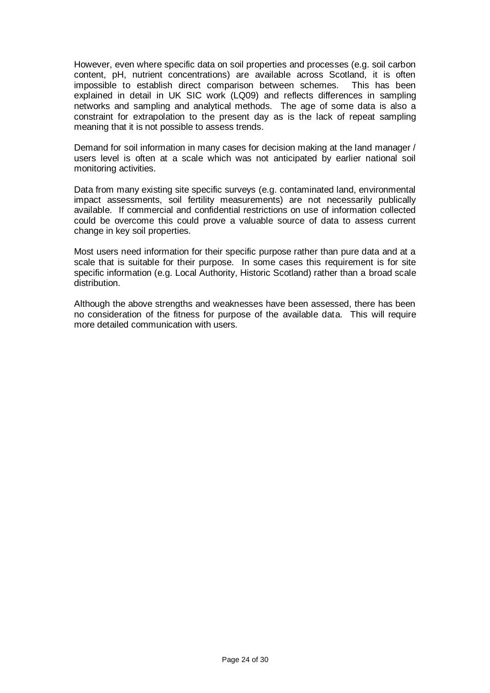However, even where specific data on soil properties and processes (e.g. soil carbon content, pH, nutrient concentrations) are available across Scotland, it is often impossible to establish direct comparison between schemes. This has been impossible to establish direct comparison between schemes. explained in detail in UK SIC work (LQ09) and reflects differences in sampling networks and sampling and analytical methods. The age of some data is also a constraint for extrapolation to the present day as is the lack of repeat sampling meaning that it is not possible to assess trends.

Demand for soil information in many cases for decision making at the land manager / users level is often at a scale which was not anticipated by earlier national soil monitoring activities.

Data from many existing site specific surveys (e.g. contaminated land, environmental impact assessments, soil fertility measurements) are not necessarily publically available. If commercial and confidential restrictions on use of information collected could be overcome this could prove a valuable source of data to assess current change in key soil properties.

Most users need information for their specific purpose rather than pure data and at a scale that is suitable for their purpose. In some cases this requirement is for site specific information (e.g. Local Authority, Historic Scotland) rather than a broad scale distribution.

Although the above strengths and weaknesses have been assessed, there has been no consideration of the fitness for purpose of the available data. This will require more detailed communication with users.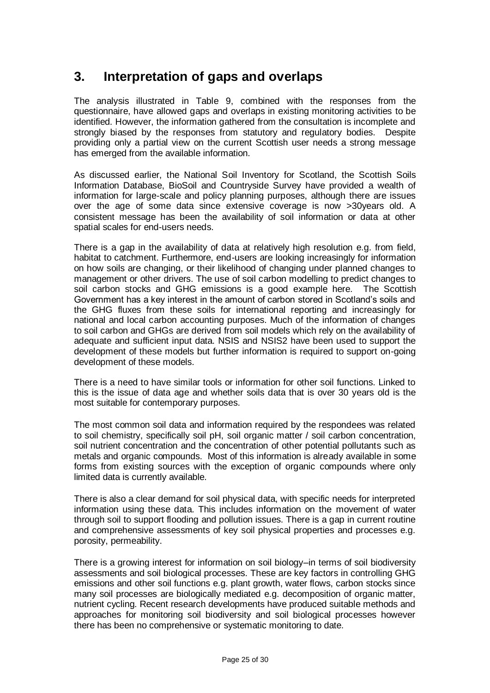# <span id="page-25-0"></span>**3. Interpretation of gaps and overlaps**

The analysis illustrated in Table 9, combined with the responses from the questionnaire, have allowed gaps and overlaps in existing monitoring activities to be identified. However, the information gathered from the consultation is incomplete and strongly biased by the responses from statutory and regulatory bodies. Despite providing only a partial view on the current Scottish user needs a strong message has emerged from the available information.

As discussed earlier, the National Soil Inventory for Scotland, the Scottish Soils Information Database, BioSoil and Countryside Survey have provided a wealth of information for large-scale and policy planning purposes, although there are issues over the age of some data since extensive coverage is now >30years old. A consistent message has been the availability of soil information or data at other spatial scales for end-users needs.

There is a gap in the availability of data at relatively high resolution e.g. from field, habitat to catchment. Furthermore, end-users are looking increasingly for information on how soils are changing, or their likelihood of changing under planned changes to management or other drivers. The use of soil carbon modelling to predict changes to soil carbon stocks and GHG emissions is a good example here. The Scottish Government has a key interest in the amount of carbon stored in Scotland's soils and the GHG fluxes from these soils for international reporting and increasingly for national and local carbon accounting purposes. Much of the information of changes to soil carbon and GHGs are derived from soil models which rely on the availability of adequate and sufficient input data. NSIS and NSIS2 have been used to support the development of these models but further information is required to support on-going development of these models.

There is a need to have similar tools or information for other soil functions. Linked to this is the issue of data age and whether soils data that is over 30 years old is the most suitable for contemporary purposes.

The most common soil data and information required by the respondees was related to soil chemistry, specifically soil pH, soil organic matter / soil carbon concentration, soil nutrient concentration and the concentration of other potential pollutants such as metals and organic compounds. Most of this information is already available in some forms from existing sources with the exception of organic compounds where only limited data is currently available.

There is also a clear demand for soil physical data, with specific needs for interpreted information using these data. This includes information on the movement of water through soil to support flooding and pollution issues. There is a gap in current routine and comprehensive assessments of key soil physical properties and processes e.g. porosity, permeability.

There is a growing interest for information on soil biology–in terms of soil biodiversity assessments and soil biological processes. These are key factors in controlling GHG emissions and other soil functions e.g. plant growth, water flows, carbon stocks since many soil processes are biologically mediated e.g. decomposition of organic matter, nutrient cycling. Recent research developments have produced suitable methods and approaches for monitoring soil biodiversity and soil biological processes however there has been no comprehensive or systematic monitoring to date.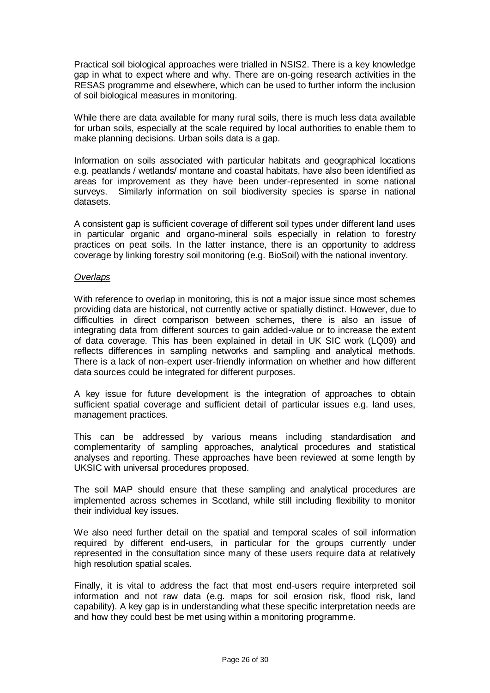Practical soil biological approaches were trialled in NSIS2. There is a key knowledge gap in what to expect where and why. There are on-going research activities in the RESAS programme and elsewhere, which can be used to further inform the inclusion of soil biological measures in monitoring.

While there are data available for many rural soils, there is much less data available for urban soils, especially at the scale required by local authorities to enable them to make planning decisions. Urban soils data is a gap.

Information on soils associated with particular habitats and geographical locations e.g. peatlands / wetlands/ montane and coastal habitats, have also been identified as areas for improvement as they have been under-represented in some national surveys. Similarly information on soil biodiversity species is sparse in national datasets.

A consistent gap is sufficient coverage of different soil types under different land uses in particular organic and organo-mineral soils especially in relation to forestry practices on peat soils. In the latter instance, there is an opportunity to address coverage by linking forestry soil monitoring (e.g. BioSoil) with the national inventory.

#### *Overlaps*

With reference to overlap in monitoring, this is not a major issue since most schemes providing data are historical, not currently active or spatially distinct. However, due to difficulties in direct comparison between schemes, there is also an issue of integrating data from different sources to gain added-value or to increase the extent of data coverage. This has been explained in detail in UK SIC work (LQ09) and reflects differences in sampling networks and sampling and analytical methods. There is a lack of non-expert user-friendly information on whether and how different data sources could be integrated for different purposes.

A key issue for future development is the integration of approaches to obtain sufficient spatial coverage and sufficient detail of particular issues e.g. land uses, management practices.

This can be addressed by various means including standardisation and complementarity of sampling approaches, analytical procedures and statistical analyses and reporting. These approaches have been reviewed at some length by UKSIC with universal procedures proposed.

The soil MAP should ensure that these sampling and analytical procedures are implemented across schemes in Scotland, while still including flexibility to monitor their individual key issues.

We also need further detail on the spatial and temporal scales of soil information required by different end-users, in particular for the groups currently under represented in the consultation since many of these users require data at relatively high resolution spatial scales.

Finally, it is vital to address the fact that most end-users require interpreted soil information and not raw data (e.g. maps for soil erosion risk, flood risk, land capability). A key gap is in understanding what these specific interpretation needs are and how they could best be met using within a monitoring programme.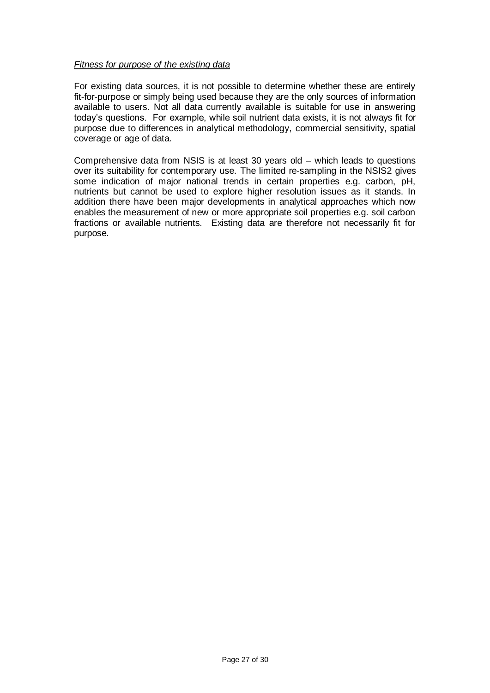### *Fitness for purpose of the existing data*

For existing data sources, it is not possible to determine whether these are entirely fit-for-purpose or simply being used because they are the only sources of information available to users. Not all data currently available is suitable for use in answering today's questions. For example, while soil nutrient data exists, it is not always fit for purpose due to differences in analytical methodology, commercial sensitivity, spatial coverage or age of data.

Comprehensive data from NSIS is at least 30 years old – which leads to questions over its suitability for contemporary use. The limited re-sampling in the NSIS2 gives some indication of major national trends in certain properties e.g. carbon, pH, nutrients but cannot be used to explore higher resolution issues as it stands. In addition there have been major developments in analytical approaches which now enables the measurement of new or more appropriate soil properties e.g. soil carbon fractions or available nutrients. Existing data are therefore not necessarily fit for purpose.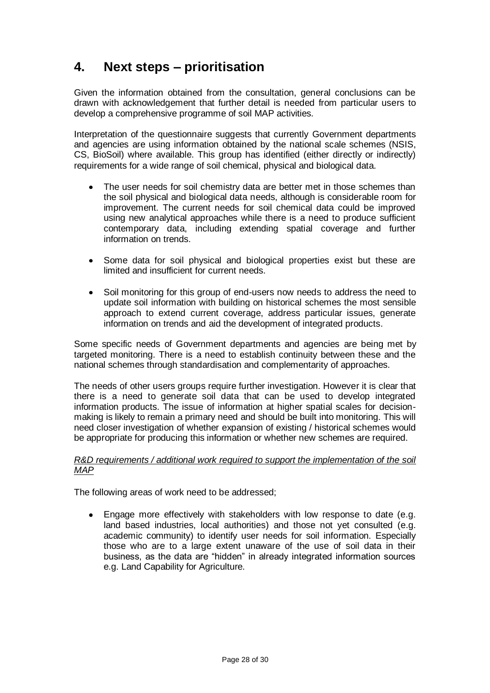# <span id="page-28-0"></span>**4. Next steps – prioritisation**

Given the information obtained from the consultation, general conclusions can be drawn with acknowledgement that further detail is needed from particular users to develop a comprehensive programme of soil MAP activities.

Interpretation of the questionnaire suggests that currently Government departments and agencies are using information obtained by the national scale schemes (NSIS, CS, BioSoil) where available. This group has identified (either directly or indirectly) requirements for a wide range of soil chemical, physical and biological data.

- The user needs for soil chemistry data are better met in those schemes than the soil physical and biological data needs, although is considerable room for improvement. The current needs for soil chemical data could be improved using new analytical approaches while there is a need to produce sufficient contemporary data, including extending spatial coverage and further information on trends.
- Some data for soil physical and biological properties exist but these are limited and insufficient for current needs.
- Soil monitoring for this group of end-users now needs to address the need to update soil information with building on historical schemes the most sensible approach to extend current coverage, address particular issues, generate information on trends and aid the development of integrated products.

Some specific needs of Government departments and agencies are being met by targeted monitoring. There is a need to establish continuity between these and the national schemes through standardisation and complementarity of approaches.

The needs of other users groups require further investigation. However it is clear that there is a need to generate soil data that can be used to develop integrated information products. The issue of information at higher spatial scales for decisionmaking is likely to remain a primary need and should be built into monitoring. This will need closer investigation of whether expansion of existing / historical schemes would be appropriate for producing this information or whether new schemes are required.

#### *R&D requirements / additional work required to support the implementation of the soil MAP*

The following areas of work need to be addressed;

Engage more effectively with stakeholders with low response to date (e.g. land based industries, local authorities) and those not yet consulted (e.g. academic community) to identify user needs for soil information. Especially those who are to a large extent unaware of the use of soil data in their business, as the data are "hidden" in already integrated information sources e.g. Land Capability for Agriculture.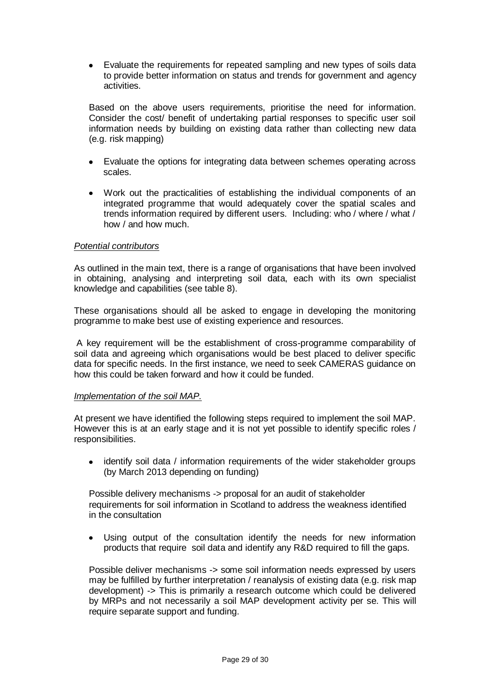Evaluate the requirements for repeated sampling and new types of soils data to provide better information on status and trends for government and agency activities.

Based on the above users requirements, prioritise the need for information. Consider the cost/ benefit of undertaking partial responses to specific user soil information needs by building on existing data rather than collecting new data (e.g. risk mapping)

- Evaluate the options for integrating data between schemes operating across scales.
- Work out the practicalities of establishing the individual components of an integrated programme that would adequately cover the spatial scales and trends information required by different users. Including: who / where / what / how / and how much.

#### *Potential contributors*

As outlined in the main text, there is a range of organisations that have been involved in obtaining, analysing and interpreting soil data, each with its own specialist knowledge and capabilities (see table 8).

These organisations should all be asked to engage in developing the monitoring programme to make best use of existing experience and resources.

A key requirement will be the establishment of cross-programme comparability of soil data and agreeing which organisations would be best placed to deliver specific data for specific needs. In the first instance, we need to seek CAMERAS guidance on how this could be taken forward and how it could be funded.

#### *Implementation of the soil MAP.*

At present we have identified the following steps required to implement the soil MAP. However this is at an early stage and it is not yet possible to identify specific roles / responsibilities.

identify soil data / information requirements of the wider stakeholder groups (by March 2013 depending on funding)

Possible delivery mechanisms -> proposal for an audit of stakeholder requirements for soil information in Scotland to address the weakness identified in the consultation

Using output of the consultation identify the needs for new information products that require soil data and identify any R&D required to fill the gaps.

Possible deliver mechanisms -> some soil information needs expressed by users may be fulfilled by further interpretation / reanalysis of existing data (e.g. risk map development) -> This is primarily a research outcome which could be delivered by MRPs and not necessarily a soil MAP development activity per se. This will require separate support and funding.